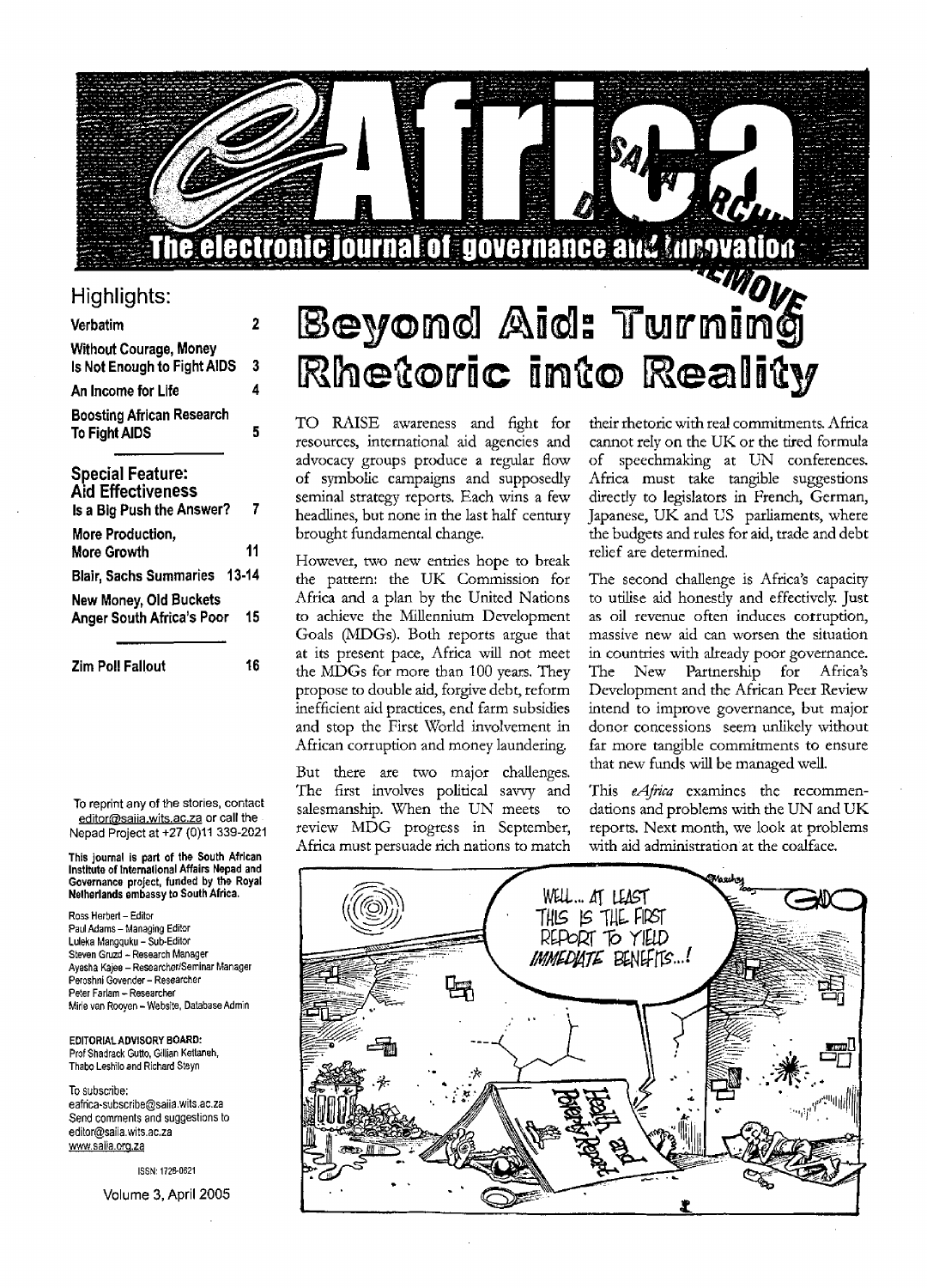## The electronic journal of governance and throvation

### Highlights:

| Verbatim                                                                         | 2  |
|----------------------------------------------------------------------------------|----|
| <b>Without Courage, Money</b><br>Is Not Enough to Fight AIDS                     | 3  |
| An Income for Life                                                               | 4  |
| <b>Boosting African Research</b><br><b>To Fight AIDS</b>                         | 5  |
| <b>Special Feature:</b><br><b>Aid Effectiveness</b><br>Is a Big Push the Answer? | 7  |
| More Production,<br><b>More Growth</b>                                           | 11 |
| Blair, Sachs Summaries 13-14                                                     |    |
| New Money, Old Buckets<br><b>Anger South Africa's Poor</b>                       | 15 |

To reprint any of the stories, contact editor@saiia.wits.ac.za or call the Nepad Project at +27 (0)11 339-2021

**Zim Poll Fallout 16**

**This journal is part of the South African Institute of International Affairs Nepad and Governance project, funded by the Royal Netherlands embassy to South Africa.**

Ross Herbert-Editor Paul Adams - Managing Editor Luleka Mangquku - Sub-Editor Steven Gruzd - Research Manager Ayesha Kajee - Researcher/Seminar Manager Peroshni Govender - Researcher Peter Farlam - Researcher Mirie van Rooyen - Website, Database Admin

**EDITORIAL ADVISORY BOARD:** Prof Shadrack Gutto, Gillian Kettaneh, Thabo Leshilo and Richard Steyn

To subscribe: eafrica-subscribe@saiia.wits.ac.za Send comments and suggestions to edilor@saiia.wits.ac.za www.saiia.org.za

ISSN: 1728-0621

**Volume 3, April 2005**

# Beyond Aid: Turning Rhetoric into Reality

TO RAISE awareness and fight for resources, international aid agencies and advocacy groups produce a regular flow of symbolic campaigns and supposedly seminal strategy reports. Each wins a few headlines, but none in the last half century brought fundamental change.

However, two new entries hope to break the pattern: the UK Commission for Africa and a plan by the United Nations to achieve the Millennium Development Goals (MDGs). Both reports argue that at its present pace, Africa will not meet the MDGs for more than 100 years. They propose to double aid, forgive debt, reform inefficient aid practices, end farm subsidies and stop the First World involvement in African corruption and money laundering.

But there are two major challenges. The first involves political savvy and salesmanship. When the UN meets to review MDG progress in September, Africa must persuade rich nations to match

their rhetoric with real commitments. Africa cannot rely on the UK or the tired formula of speechmaking at UN conferences. Africa must take tangible suggestions directly to legislators in French, German, Japanese, UK and US parliaments, where the budgets and rules for aid, trade and debt relief are determined.

The second challenge is Africa's capacity to utilise aid honesdy and effectively. Just as oil revenue often induces corruption, massive new aid can worsen the situation in countries with already poor governance. The New Partnership for Africa's Development and the African Peer Review intend to improve governance, but major donor concessions seem unlikely without far more tangible commitments to ensure that new funds will be managed well.

This *eAfrica* examines the recommendations and problems with the UN and UK reports. Next month, we look at problems with aid administration at the coalface.

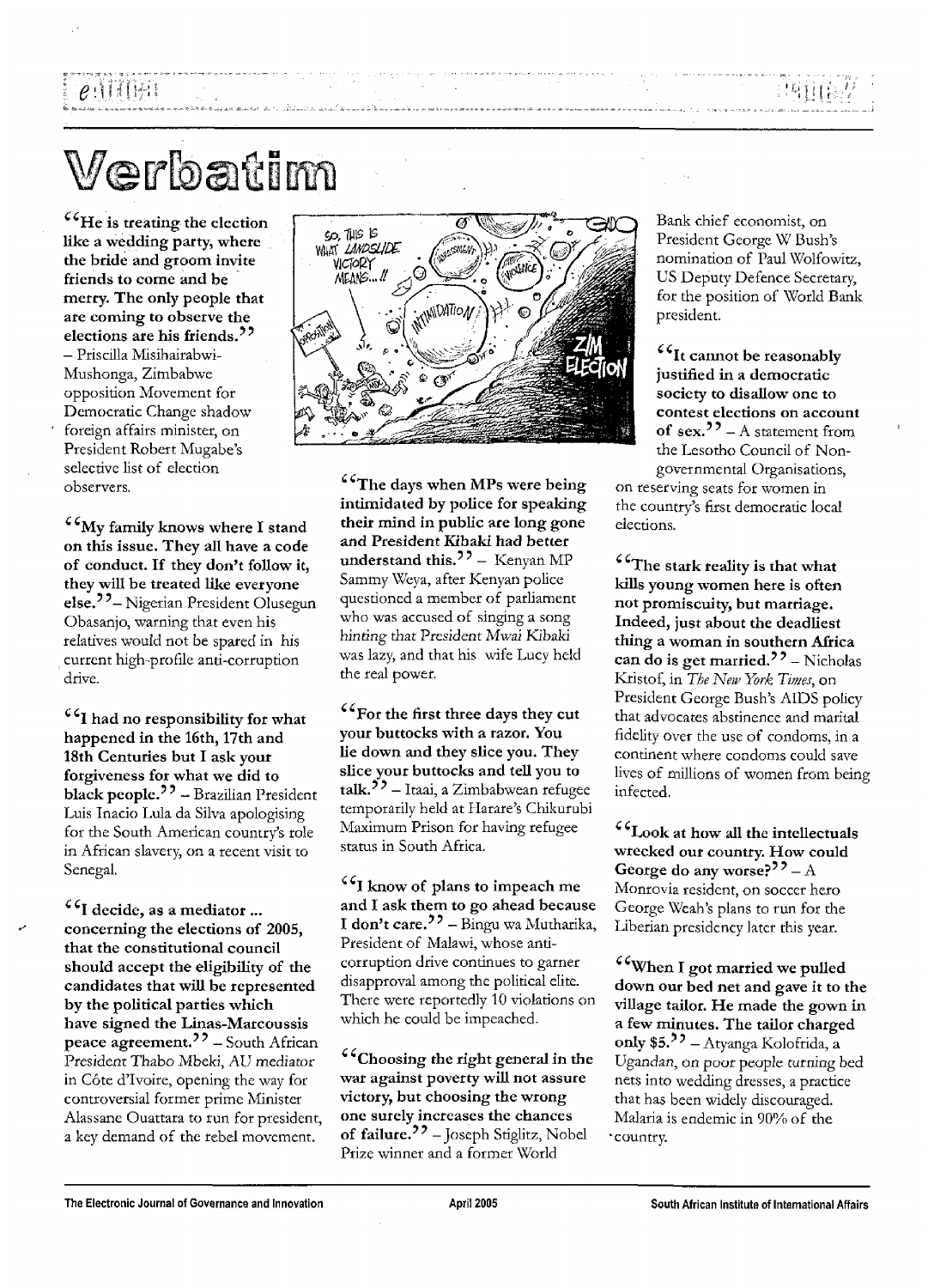# $e$  , it is in Fig.

# Verbatim

**He is treating the election like a wedding party, where the bride and groom invite friends to come and be merry. The only people that are coming to observe the elections are his friends.** - Priscilla Misihairabwi-Mushonga, Zimbabwe opposition Movement for Democratic Change shadow foreign affairs minister, on President Robert Mugabe's selective list of election observers.

**My family knows where I stand on this issue. They all have a code of conduct. If they don't follow it, they will be treated like everyone** else.<sup>?</sup><sup>2</sup> - Nigerian President Olusegun Obasanjo, warning that even his relatives would not be spared in his current high-profile anti-corruption drive.

**I had no responsibility for what happened in the 16th, 17th and 18th Centuries but I ask your forgiveness for what we did to black people.**<sup>22</sup> - Brazilian President Luis Inacio Lula da Silva apologising for the South American country's role in African slavery, on a recent visit to Senegal.

**I decide, as a mediator ... concerning the elections of 2005, that the constitutional council should accept the eligibility of the candidates that will be represented by the political parties which have signed the Linas-Marcoussis peace agreement.-"** - South African President Thabo Mbeki, AU mediator in Côte d'Ivoire, opening the way for controversial former prime Minister Alassane Ouattara to run for president, a key demand of the rebel movement.



**The days when MPs were being intimidated by police for speaking their mind in public are long gone and President Kibaki had better understand this.'**? - Kenyan MP Sammy Weya, after Kenyan police questioned a member of parliament who was accused of singing a song hinting that President Mwai Kibaki was lazy, and that his wife Lucy held the real power.

**For the first three days they cut your buttocks with a razor. You lie down and they slice you. They slice your buttocks and tell you to** talk.<sup>55</sup> – Itaai, a Zimbabwean refugee temporarily held at Harare's Chikurubi Maximum Prison for having refugee status in South Africa.

**I know of plans to impeach** me **and I ask them to go ahead because I don't care.<sup>22</sup>** – Bingu wa Mutharika, President of Malawi, whose anticorruption drive continues to garner disapproval among the political elite. There were reportedly 10 violations on which he could be impeached.

**Choosing the right general in the war against poverty will not assure victory, but choosing the wrong one surely increases the chances of failure.<sup>37</sup>** -Joseph Stiglitz, Nobel Prize winner and a former World

Bank chief economist, on President George W Bush's nomination of Paul Wolfowitz, US Deputy Defence Secretary, for the position of World Bank president.

**It cannot be reasonably justified in a democratic society to disallow one to contest elections on account** of sex.<sup>22</sup> – A statement from the Lesotho Council of Nongovernmental Organisations,

on reserving seats for women in the country's first democratic local elections.

**The stark reality is that what kills young women here is often not promiscuity, but marriage. Indeed, just about the deadliest thing a woman in southern Africa** can do is get married.<sup>22</sup> - Nicholas Kristof, in *The New York Times,* on President George Bush's AIDS policy that advocates abstinence and marital fidelity over the use of condoms, in a continent where condoms could save lives of millions of women from being infected.

**Look at how all the intellectuals wrecked our country. How could** George do any worse?<sup>??</sup> - A Monrovia resident, on soccer hero George Weah's plans to run for the Liberian presidency later this year.

**When I got married we pulled down our bed net and gave it to the village tailor. He made the gown in a few minutes. The tailor charged only \$5.<sup>32</sup>** - Atyanga Kolofrida, a Ugandan, on poor people turning bed nets into wedding dresses, a practice that has been widely discouraged. Malaria is endemic in 90% of the country.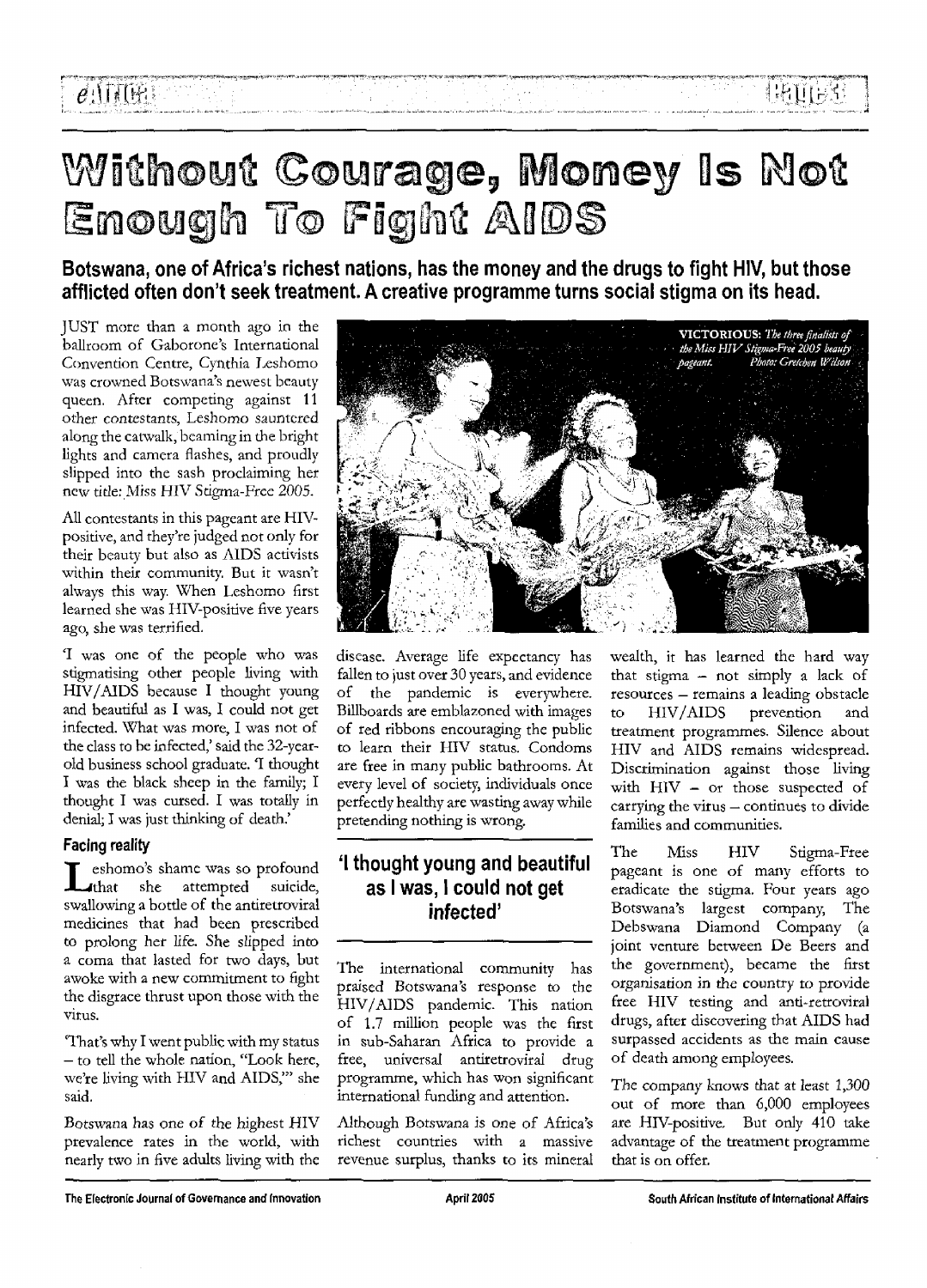# $e$ . TTUE :

# Without Courage, Money Is Not Enough To Fight AIDS

Botswana, one of Africa's richest nations, has the money and the drugs to fight HIV, but those afflicted often don't seek treatment. A creative programme turns social stigma on its head.

JUST more than a month ago in the ballroom of Gaborone's International Convention Centre, Cynthia Leshomo was crowned Botswana's newest beauty queen. After competing against 11 other contestants, Leshomo sauntered along the catwalk, beaming in the bright lights and camera flashes, and proudly slipped into the sash proclaiming her new title: Miss HIV Stigma-Free 2005.

All contestants in this pageant are HIVpositive, and they're judged not only for their beauty but also as AIDS activists within their community. But it wasn't always this way. When Leshomo first learned she was HIV-positive five years ago, she was terrified.

'I was one of the people who was stigmatising other people living with HIV/AIDS because I thought young and beautiful as I was, I could not get infected. What was more, I was not of the class to be infected,' said the 32-yearold business school graduate. 'I thought I was the black sheep in the family; I thought I was cursed. I was totally in denial; I was just thinking of death.'

#### Facing reality

Leshomo's shame was so profound<br>that she attempted suicide,<br>swallowing a bottle of the antiretroviral eshomo's shame was so profound that she attempted suicide, medicines that had been prescribed to prolong her life. She slipped into a coma that lasted for two days, but awoke with a new commitment to fight the disgrace thrust upon those with the virus.

'That's why I went public with my status - to tell the whole nation, "Look here, we're living with HIV and AIDS,'" she said.

Botswana has one *of* the highest HIV prevalence rates in the world, with nearly two in five adults living with the



disease. Average life expectancy has fallen to just over 30 years, and evidence of the pandemic is everywhere. Billboards are emblazoned with images of red ribbons encouraging the public to learn their HIV status. Condoms are free in many public bathrooms. At every level of society, individuals once perfectly healthy are wasting away while pretending nothing is wrong.

### 'I thought young and beautiful as I was, 1 could not get infected'

The international community has praised Botswana's response to the HIV/AIDS pandemic. This nation of 1.7 million people was the first in sub-Saharan Africa to provide a free, universal antiretroviral drug programme, which has won significant international funding and attention.

Although Botswana is one of Africa's richest countries with a massive revenue surplus, thanks to its mineral

wealth, it has learned the hard way that stigma — not simply a lack of resources — remains a leading obstacle to HIV/AIDS prevention and treatment programmes. Silence about HIV and AIDS remains widespread. Discrimination against those living with HIV - or those suspected of carrying the virus — continues to divide families and communities.

The Miss HIV Stigma-Free pageant is one of many efforts to eradicate the stigma. Four years ago Botswana's largest company, The Debswana Diamond Company (a joint venture between De Beers and the government), became the first organisation in the country to provide free HIV testing and anti-retroviral drugs, after discovering that AIDS had surpassed accidents as the main cause of death among employees.

The company knows that at least 1,300 out of more than 6,000 employees are HIV-positive, But only 410 take advantage of the treatment programme that is on offer.

The Electronic Journal of Governance and Innovation April 2005 April 2005 South African Institute of International Affairs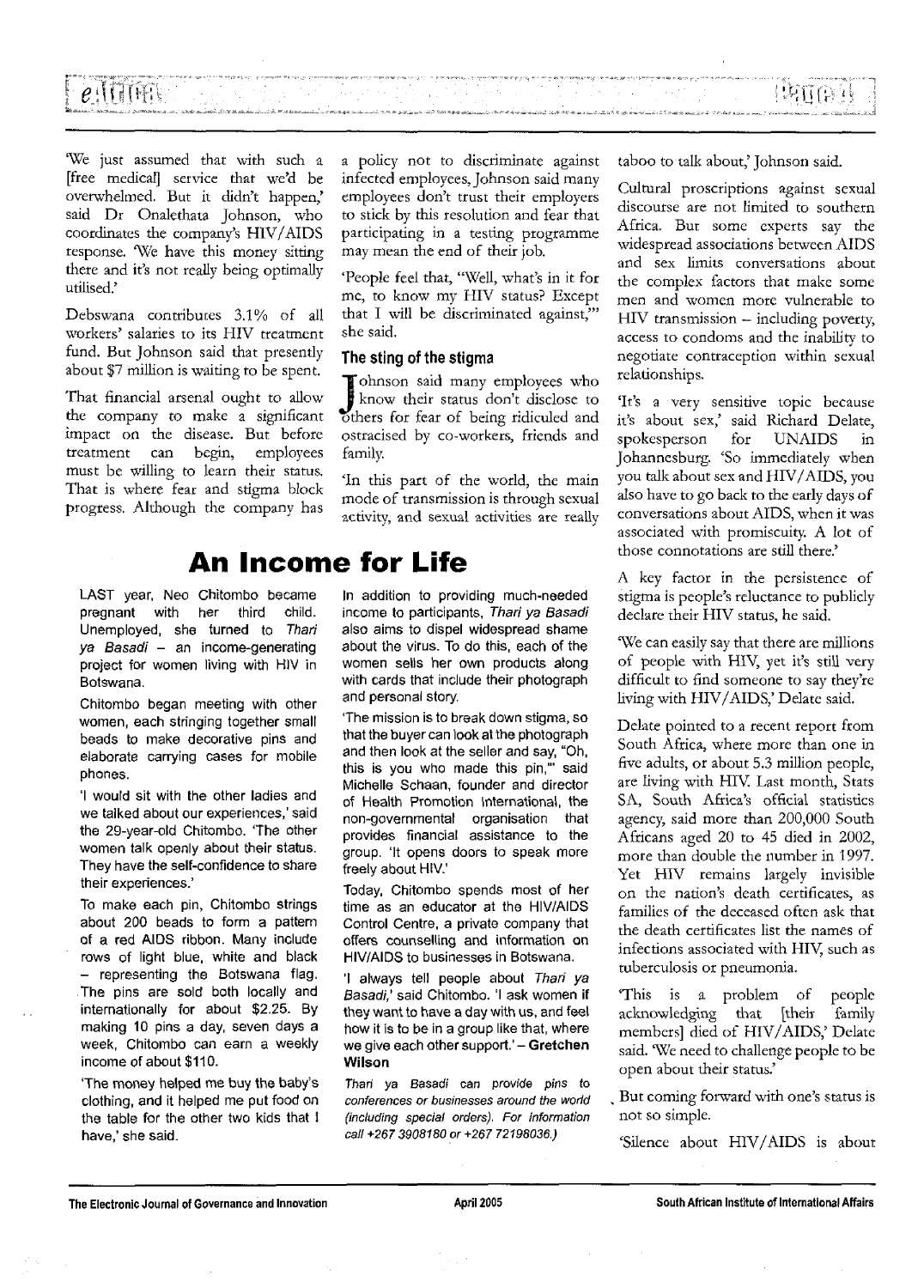#### renteren en die staan.<br>Geboortes *e* 10 - 10 - 10 - 10 - 11 Alban C 医链球菌

We just assumed that with such a [free medical] service that we'd be overwhelmed. But it didn't happen,' said Dr Onalethata Johnson, who coordinates the company's HIV/AIDS response. We have this money sitting there and it's not really being optimally utilised.'

Debswana contributes 3.1% of all workers' salaries to its HIV treatment fund. But Johnson said that presently about \$7 million is waiting to be spent.

That financial arsenal ought to allow the company to make a significant impact on the disease. But before treatment can begin, employees must be willing to learn their status. That is where fear and stigma block progress. Although the company has

LAST year, Neo Chitombo became pregnant with her third child. Unemployed, she turned to Thari ya Basadi - an income-generating project for women living with HIV in Botswana.

Chitombo began meeting with other women, each stringing together small beads to make decorative pins and elaborate carrying cases for mobile phones.

'I would sit with the other ladies and we talked about our experiences,' said the 29-year-old Chitombo. 'The other women talk openly about their status. They have the self-confidence to share their experiences.'

To make each pin, Chitombo strings about 200 beads to form a pattern of a red AIDS ribbon. Many include rows of light blue, white and black - representing the Botswana flag. The pins are sold both locally and internationally for about \$2.25. By making 10 pins a day, seven days a week, Chitombo can earn a weekly income of about \$110.

'The money helped me buy the baby's clothing, and it helped me put food on the table for the other two kids that i have,' she said.

a policy not to discriminate against infected employees, Johnson said many employees don't trust their employers to stick by this resolution and fear that participating in a testing programme may mean the end of their job.

'People feel that, "Well, what's in it for me, to know my HIV status? Except that I will be discriminated against,'" she said.

#### The sting of the stigma

Johnson said many employees who<br>know their status don't disclose to<br>others for fear of being ridiculed and Tohnson said many employees who know their status don't disclose to ostracised by co-workers, friends and family.

'In this part of the world, the main mode of transmission is through sexual activity, and sexual activities are really

## **An Income for Life**

In addition to providing much-needed income to participants, Thari ya Basadi also aims to dispel widespread shame about the virus. To do this, each of the women sells her own products along with cards that include their photograph and personal story.

'The mission is to break down stigma, so that the buyer can look at the photograph and then look at the seller and say, "Oh, this is you who made this pin,'" said Michelle Schaan, founder and director of Health Promotion International, the non-governmental organisation that provides financial assistance to the group. 'It opens doors to speak more freely about HIV.'

Today, Chitombo spends most of her time as an educator at the HIV/AIDS Control Centre, a private company that offers counselling and information on HIV/AIDS to businesses in Botswana.

'I always tell people about Thari ya Basadi,' said Chitombo. 'I ask women if they want to have a day with us, and feel how it is to be in a group like that, where we give each other support.' - Gretchen **Wilson**

Thari ya Basadi can provide pins to conferences or businesses around the world (including special orders). For information call +267 3908180 or +267 72198036.)

taboo to talk about,' Johnson said.

Cultural proscriptions against sexual discourse are not limited to southern Africa. But some experts say the widespread associations between AIDS and sex limits conversations about the complex factors that make some men and women more vulnerable to HIV transmission - including poverty, access to condoms and the inability to negotiate contraception within sexual relationships.

'It's a very sensitive topic because it's about sex,' said Richard Delate, spokesperson for UNAIDS in Johannesburg. 'So immediately when you talk about sex and HIV/AIDS, you also have to go back to the early days of conversations about AIDS, when it was associated with promiscuity. A lot of those connotations are still there.'

A key factor in the persistence of stigma is people's reluctance to publicly declare their HIV status, he said.

We can easily say that there are millions of people with HIV, yet it's still very difficult to find someone to say they're living with HIV/AIDS,' Delate said.

Delate pointed to a recent report from South Africa, where more than one in five adults, or about 5.3 million people, are living with HIV. Last month, Stats SA, South Africa's official statistics agency, said more than 200,000 South Africans aged 20 to 45 died in 2002, more than double the number in 1997. Yet HIV remains largely invisible on the nation's death certificates, as families of the deceased often ask that the death certificates list the names of infections associated with HIV, such as tuberculosis or pneumonia.

This is a problem of people acknowledging that [their family members] died of HIV/AIDS,' Delate said. 'We need to challenge people to be open about their status.'

\_ But coming forward with one's status is not so simple.

'Silence about HIV/AIDS is about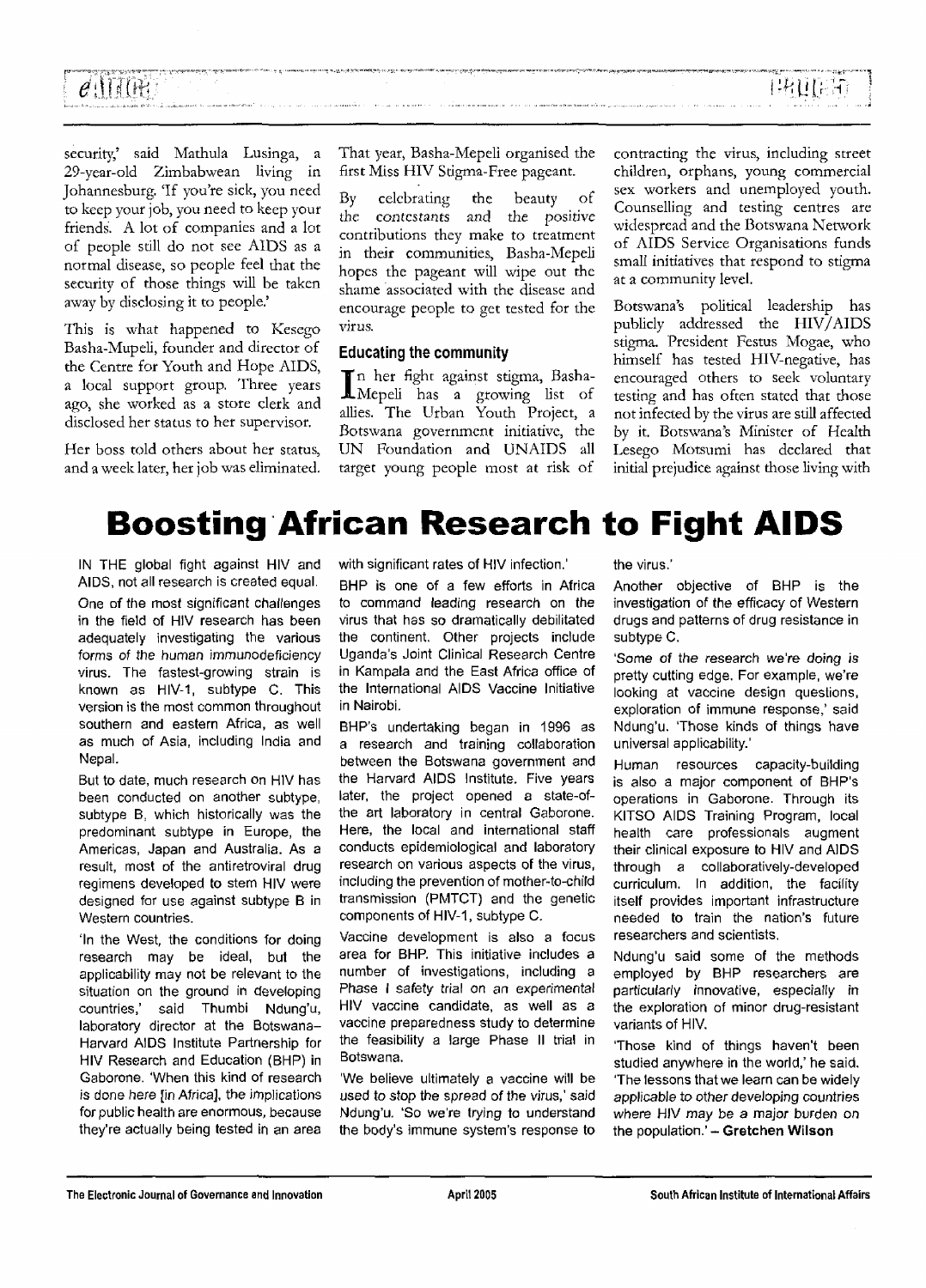| $e$ (Hill $e$                                                                                                                                                                                                                |  | 建建焦油 |
|------------------------------------------------------------------------------------------------------------------------------------------------------------------------------------------------------------------------------|--|------|
|                                                                                                                                                                                                                              |  |      |
| പ്രാപ്പെപ്പെട്ടു. അത് പ്രാപ്പ് പ്രാപ്പെട്ടില് അത്തിന്റെ പ്രാപാ പ്രാപിക്കാന് പ്രാപിക്കുന്ന പ്രാപിക്കുന്ന പ്രാപിക്കുന്നത്. അത്തിന്റെ പ്രാപിക്കുന്ന പ്രാപിക്കുന്ന പ്രാപിക്കുന്നത്. പ്രാപിക്കുന്ന പ്രാപിക്കുന്ന പ്രാപിക്കുന്നത്. |  |      |

security,' said Mathula Lusinga, a 29-year-old Zimbabwean living in Johannesburg. 'If you're sick, you need to keep your job, you need to keep your friends. A lot of companies and a lot of people still do not see AIDS as a normal disease, so people feel that the security of those things will be taken away by disclosing it to people.'

This is what happened to Kesego Basha-Mupeli, founder and director of the Centre for Youth and Hope AIDS, a local support group. Three years ago, she worked as a store clerk and disclosed her status to her supervisor.

Her boss told others about her status, and a week later, her job was eliminated. That year, Basha-Mepeli organised the first Miss HIV Stigma-Free pageant.

By celebrating the beauty of the contestants and the positive contributions they make to treatment in their communities, Basha-Mepeli hopes the pageant will wipe out the shame associated with the disease and encourage people to get tested for the virus.

#### Educating the community

n her fight against stigma, Basha-Mepeli has a growing list of allies. The Urban Youth Project, a Botswana government initiative, the UN Foundation and UNAIDS all target young people most at risk of

contracting the virus, including street children, orphans, young commercial sex workers and unemployed youth. Counselling and testing centres are widespread and the Botswana Network of AIDS Service Organisations funds small initiatives that respond to stigma at a community level.

Botswana's political leadership has publicly addressed the HIV/ AIDS stigma. President Festus Mogae, who himself has tested HIV-negative, has encouraged others to seek voluntary testing and has often stated that those not infected by the virus are still affected by it. Botswana's Minister of Health Lesego Motsumi has declared that initial prejudice against those living with

# **Boosting African Research to Fight AIDS**

IN THE global fight against HIV and AIDS, not all research is created equal.

One of the most significant challenges in the field of HIV research has been adequately investigating the various forms of the human immunodeficiency virus. The fastest-growing strain is known as HIV-1, subtype C. This version is the most common throughout southern and eastern Africa, as well as much of Asia, including India and Nepal.

But to date, much research on HIV has been conducted on another subtype, subtype B, which historically was the predominant subtype in Europe, the Americas, Japan and Australia. As a result, most of the antiretroviral drug regimens developed to stem HIV were designed for use against subtype B in Western countries.

'In the West, the conditions for doing research may be ideal, but the applicability may not be relevant to the situation on the ground in developing countries,' said Thumbi Ndung'u, laboratory director at the Botswana-Harvard AIDS Institute Partnership for HIV Research and Education (BHP) in Gaborone. 'When this kind of research is done here [in Africa], the implications for public health are enormous, because they're actually being tested in an area

with significant rates of HIV infection.'

BHP is one of a few efforts in Africa to command leading research on the virus that has so dramatically debilitated the continent. Other projects include Uganda's Joint Clinical Research Centre in Kampala and the East Africa office of the International AIDS Vaccine Initiative in Nairobi.

BHP's undertaking began in 1996 as a research and training collaboration between the Botswana government and the Harvard AIDS Institute. Five years later, the project opened a state-ofthe art laboratory in central Gaborone. Here, the local and international staff conducts epidemiological and laboratory research on various aspects of the virus, including the prevention of mother-to-child transmission (PMTCT) and the genetic components of HIV-1, subtype C.

Vaccine development is also a focus area for BHP. This initiative includes a number of investigations, including a Phase I safety trial on an experimental HIV vaccine candidate, as well as a vaccine preparedness study to determine the feasibility a large Phase II trial in Botswana.

'We believe ultimately a vaccine will be used to stop the spread of the virus,' said Ndung'u. 'So we're trying to understand the body's immune system's response to the virus.'

Another objective of BHP is the investigation of the efficacy of Western drugs and patterns of drug resistance in subtype C.

'Some of the research we're doing is pretty cutting edge. For example, we're looking at vaccine design questions, exploration of immune response,' said Ndung'u. 'Those kinds of things have universal applicability.'

Human resources capacity-building is also a major component of BHP's operations in Gaborone. Through its KITSO AIDS Training Program, local health care professionals augment their clinical exposure to HIV and AIDS through a collaboratively-developed curriculum. In addition, the facility itself provides important infrastructure needed to train the nation's future researchers and scientists.

Ndung'u said some of the methods employed by BHP researchers are particularly innovative, especially in the exploration of minor drug-resistant variants of HIV.

Those kind of things haven't been studied anywhere in the world,' he said. The lessons that we learn can be widely applicable to other developing countries where HIV may be a major burden on the population.' - Gretchen Wilson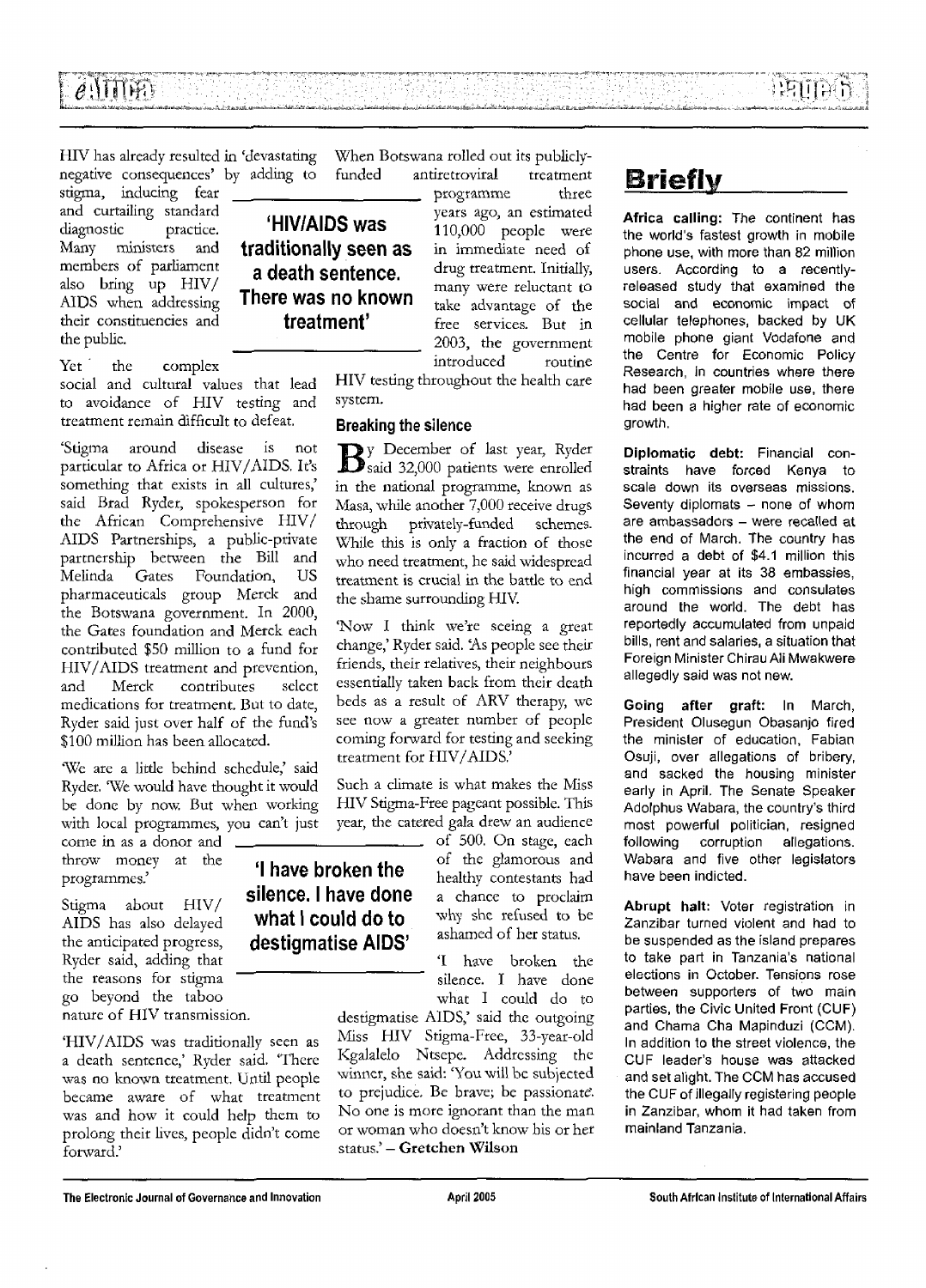HIV has already resulted in 'devastating negative consequences' by adding to

stigma, inducing fear and curtailing standard diagnostic practice. Many ministers and members of parliament also bring up HIV/ AIDS when addressing their constituencies and the public.

Yet the complex social and cultural values that lead to avoidance of HIV testing and treatment remain difficult to defeat.

'Stigma around disease is not particular to Africa or HIV/AIDS. It's something that exists in all cultures,' said Brad Ryder, spokesperson for the African Comprehensive HIV/ AIDS Partnerships, a public-private partnership between the Bill and Melinda Gates Foundation, US pharmaceuticals group Merck and the Botswana government. In 2000, the Gates foundation and Merck each contributed \$50 million to a fund for HIV/AIDS treatment and prevention, and Merck contributes select medications for treatment. But to date, Ryder said just over half of the fund's  $$100$  million has been allocated.

'We are a little behind schedule,' said Ryder. 'We would have thought it would be done by now. But when working with local programmes, you can't just

come in as a donor and throw money at the programmes.'

Stigma about HIV/ AIDS has also delayed the anticipated progress, Ryder said, adding that the reasons for stigma go beyond the taboo nature of HIV transmission.

'HIV/AIDS was traditionally seen as a death sentence,' Ryder said. 'There was no known treatment. Until people became aware of what treatment was and how it could help them to prolong their lives, people didn't come forward.'

When Botswana rolled out its publicly-<br>funded antiretroviral treatment antiretroviral treatment

'HIV/AIDS was traditionally seen as a death sentence. There was no known treatment'

programme three years ago, an estimated 110,000 people were in immediate need of drug treatment. Initially, many were reluctant to take advantage of the free services. But in 2003, the government introduced routine

HIV testing throughout the health care system.

#### Breaking the silence

y December of last year, Ryder  $\mathbf{D}$ said 32,000 patients were enrolled in the national programme, known as Masa, while another 7,000 receive drugs through privately-funded schemes. While this is only a fraction of those who need treatment, he said widespread treatment is crucial in the battle to end the shame surrounding HIV

'Now I think we're seeing a great change,' Ryder said. 'As people see their friends, their relatives, their neighbours essentially taken back from their death beds as a result of ARV therapy, we see now a greater number of people coming forward for testing and seeking treatment for HIV/AIDS.'

Such a climate is what makes the Miss HIV Stigma-Free pageant possible. This year, the catered gala drew an audience

'I have broken the silence. I have done what I could do to destigmatise AIDS'

of 500. On stage, each of the glamorous and healthy contestants had a chance to proclaim why she refused to be ashamed of her status.

'I have broken the silence. I have done what I could do to

destigmatise AIDS,' said the outgoing Miss HIV Stigma-Free, 33-year-old Kgalalelo Ntsepc. Addressing the winner, she said: 'You will be subjected to prejudice. Be brave; be passionate'. No one is more ignorant than the man or woman who doesn't know his or her status.' — **Gretchen Wilson**

# **Briefly**

**Africa calling:** The continent has the world's fastest growth in mobile phone use, with more than 82 million users. According to a recentlyreleased study that examined the social and economic impact of cellular telephones, backed by UK mobile phone giant Vodafone and the Centre for Economic Policy Research, in countries where there had been greater mobile use, there had been a higher rate of economic growth.

**Diplomatic debt:** Financial constraints have forced Kenya to scale down its overseas missions. Seventy diplomats  $-$  none of whom are ambassadors - were recalled at the end of March. The country has incurred a debt of \$4.1 million this financial year at its 38 embassies, high commissions and consulates around the world. The debt has reportedly accumulated from unpaid bills, rent and salaries, a situation that Foreign Minister Chirau Ali Mwakwere allegedly said was not new.

**Going after graft:** In March, President Olusegun Obasanjo fired the minister of education, Fabian Osuji, over allegations of bribery, and sacked the housing minister early in April. The Senate Speaker Adolphus Wabara, the country's third most powerful politician, resigned following corruption allegations. Wabara and five other legislators have been indicted.

**Abrupt halt:** Voter registration in Zanzibar turned violent and had to be suspended as the island prepares to take part in Tanzania's national elections in October. Tensions rose between supporters of two main parties, the Civic United Front (CUF) and Chama Cha Mapinduzi (CCM). In addition to the street violence, the CUF leader's house was attacked and set alight. The CCM has accused the CUF of illegally registering people in Zanzibar, whom it had taken from mainland Tanzania.

The Electronic Journal of Governance and Innovation April 2005 April 2005 South African Institute of International Affairs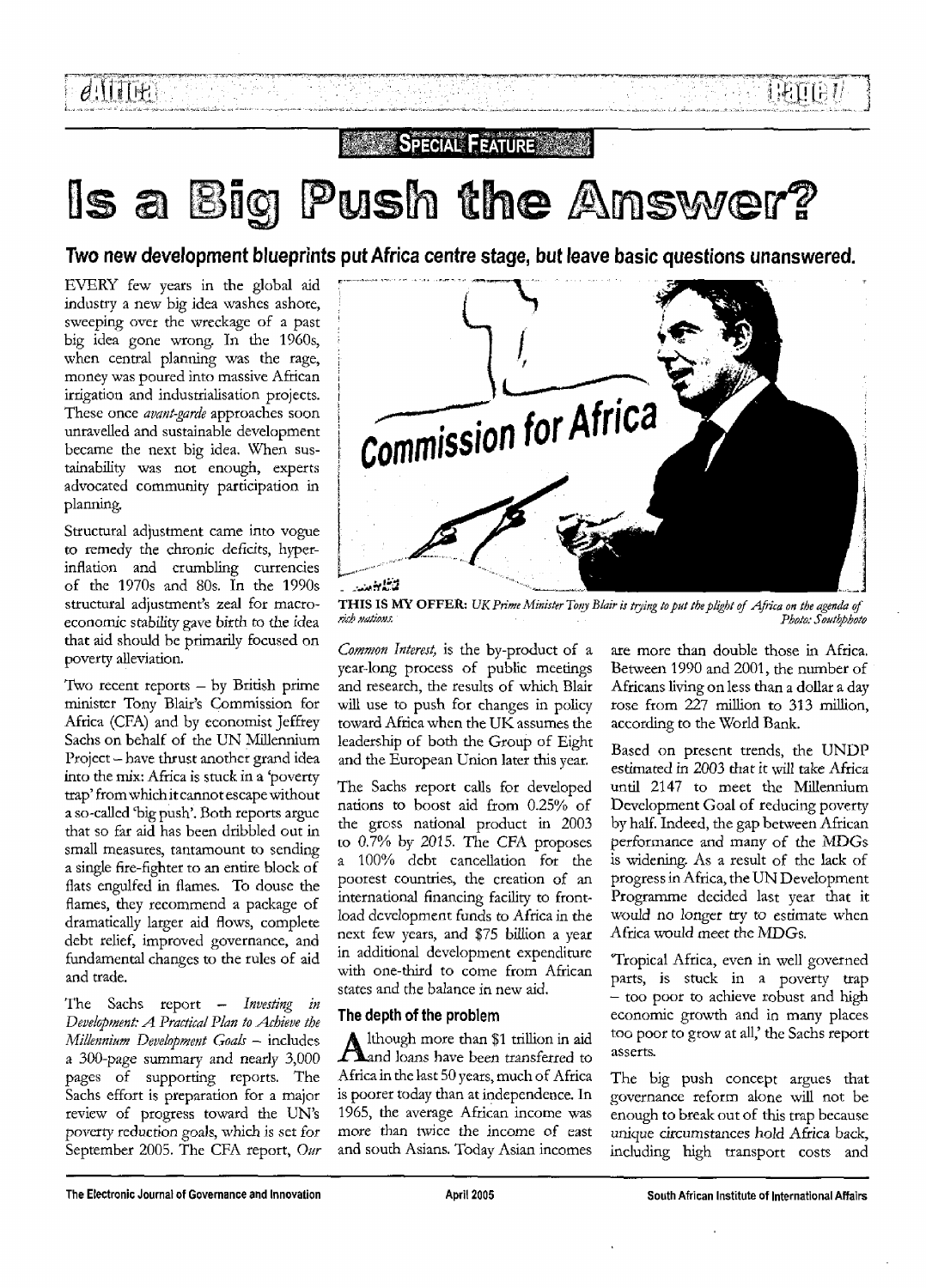# Is a Big Push the Answer?

Two new development blueprints put Africa centre stage, but leave basic questions unanswered.

EVERY few years in the global aid industry a new big idea washes ashore, sweeping over the wreckage of a past big idea gone wrong. In the 1960s, when central planning was the rage, money was poured into massive African irrigation and industrialisation projects. These once *avant-garde* approaches soon unravelled and sustainable development became the next big idea. When sustainability was not enough, experts advocated community participation in planning.

Structural adjustment came into vogue to remedy the chronic deficits, hyperinflation and crumbling currencies of the 1970s and 80s. In the 1990s structural adjustment's zeal for macroeconomic stability gave birth to the idea that aid should be primarily focused on poverty alleviation.

Two recent reports — by British prime minister Tony Blair's Commission for Africa (CFA) and by economist Jeffrey Sachs on behalf of the UN Millennium Project - have thrust another grand idea into the mix: Africa is stuck in a 'poverty trap' fromwhich it cannot escape without a so-called 'big push'. Both reports argue that so far aid has been dribbled out in small measures, tantamount to sending a single fire-fighter to an entire block of flats engulfed in flames. To douse the flames, they recommend a package of dramatically larger aid flows, complete debt relief, improved governance, and fundamental changes to the rules of aid and trade.

The Sachs report — *Investing in Development: A. Practical Plan to -Achieve the Millennium Development Goals* — includes a 300-page summary and nearly 3,000 pages of supporting reports. The Sachs effort is preparation for a major review of progress toward the UN's poverty reduction goals, which is set for September 2005. The CFA report, *Our*



THIS IS MY OFFER: UK Prime Minister Tony Blair is trying to put the plight of Africa on the agenda of<br>rich nations: Photo: Southbhote Photo: Southphoto

*Common Interest,* is the by-product of a year-long process of public meetings and research, the results of which Blair will use to push for changes in policy toward Africa when the UK assumes the leadership of both the Group of Eight and the European Union later this year.

The Sachs report calls for developed nations to boost aid from 0.25% of the gross national product in 2003 to 0.7% by 2015. The CFA proposes a 100% debt cancellation for the poorest countries, the creation of an international financing facility to frontload development funds to Africa in the next few years, and \$75 billion a year in additional development expenditure with one-third to come from African states and the balance in new aid.

#### **The depth of the problem**

Although more than \$1 trillion in aid<br>Aand loans have been transferred to lthough more than \$1 trillion in aid Africa in the last 50 years, much of Africa is poorer today than at independence. In 1965, the average African income was more than twice the income of east and south Asians. Today Asian incomes

are more than double those in Africa. Between 1990 and 2001, the number of Africans living on less than a dollar a day rose from 227 million to 313 million, according to the World Bank.

191087

Based on present trends, the UNDP estimated in 2003 that it will take Africa until 2147 to meet the Millennium Development Goal of reducing poverty by half. Indeed, the gap between African performance and many of the MDGs is widening. As a result of the lack of progress in Africa, the UN Development Programme decided last year that it would no longer try to estimate when Africa would meet the MDGs.

Tropical Africa, even in well governed parts, is stuck in a poverty trap - too poor to achieve robust and high economic growth and in many places too poor to grow at all,' the Sachs report asserts.

The big push concept argues that governance reform alone will not be enough to break out of this trap because unique circumstances hold Africa back, including high transport costs and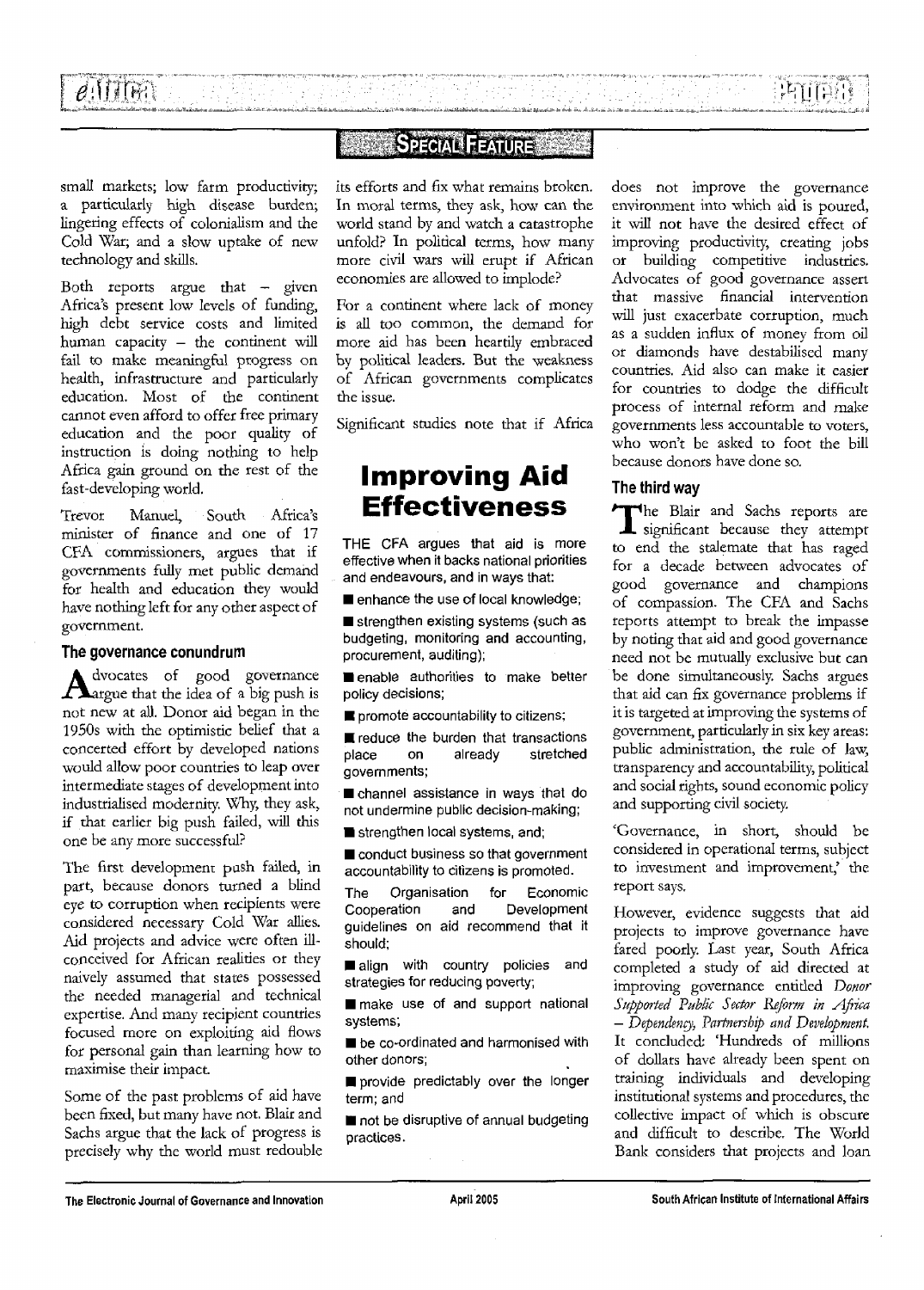**PIITE** 

### **SPECIAL FEATURE**

 $\mathcal{F}_{\mathrm{in}}$  ,  $\mathcal{F}$ 

William State State<br>State State State

地质学

.<br>ما المقدم على التقديم على المؤلف المعارف المؤلف المقدم المؤلفة المقدم المؤلفات

Ang ang pa

small markets; low farm productivity; a particularly high disease burden; lingering effects of colonialism and the Cold War; and a slow uptake of new technology and skills.

Both reports argue that — given Africa's present low levels of funding, high debt service costs and limited human capacity - the continent will fail to make meaningful progress on health, infrastructure and particularly education. Most of the continent cannot even afford to offer free primary education and the poor quality of instruction is doing nothing to help Africa gain ground on the rest of the fast-developing world.

Trevor Manuel, South Africa's minister of finance and one of 17 CFA commissioners, argues that if governments fully met public demand for health and education they would have nothing left for any other aspect of government.

#### **The governance conundrum**

Advocates of good governance dvocates of good governance not new at all. Donor aid began in the 1950s with the optimistic belief that a concerted effort by developed nations would allow poor countries to leap over intermediate stages of development into industrialised modernity. Why, they ask, if that earlier big push failed, will this one be any more successful?

The first development push failed, in part, because donors turned a blind eye to corruption when recipients were considered necessary Cold War allies. Aid projects and advice were often illconceived for African realities or they naively assumed that states possessed the needed managerial and technical expertise. And many recipient countries focused more on exploiting aid flows for personal gain than learning how to maximise their impact.

Some of the past problems of aid have been fixed, but many have not. Blair and Sachs argue that the lack of progress is precisely why the world must redouble its efforts and fix what remains broken. In moral terms, they ask, how can the world stand by and watch a catastrophe unfold? In political terms, how many more civil wars will erupt if African economies are allowed to implode?

For a continent where lack of money is all too common, the demand for more aid has been heartily embraced by political leaders. But the weakness of African governments complicates the issue.

Significant studies note that if Africa

## **Improving Aid Effectiveness**

THE CFA argues that aid is more effective when it backs national priorities and endeavours, and in ways that:

enhance the use of local knowledge;

 $\blacksquare$  strengthen existing systems (such as budgeting, monitoring and accounting, procurement, auditing);

**n** enable authorities to make better policy decisions;

 $\blacksquare$  promote accountability to citizens;

**E** reduce the burden that transactions place on already stretched governments;

ehannel assistance in ways that do not undermine public decision-making;

**E** strengthen local systems, and;

conduct business so that government accountability to citizens is promoted.

The Organisation for Economic Cooperation and Development guidelines on aid recommend that it should;

align with country policies and strategies for reducing poverty;

make use of and support national systems;

 $\blacksquare$  be co-ordinated and harmonised with other donors;

provide predictably over the longer term; and

 $\blacksquare$  not be disruptive of annual budgeting practices.

does not improve the governance environment into which aid is poured, it will not have the desired effect of improving productivity, creating jobs or building competitive industries. Advocates of good governance assert that massive financial intervention will just exacerbate corruption, much as a sudden influx of money from oil or diamonds have destabilised many countries. Aid also can make it easier for countries to dodge the difficult process of internal reform and make governments less accountable to voters, who won't be asked to foot the bill because donors have done so.

#### **The third way**

T he Blair and Sachs reports are **L** significant because they attempt to end the stalemate that has raged for a decade between advocates of good governance and champions of compassion. The CFA and Sachs reports attempt to break the impasse by noting that aid and good governance need not be mutually exclusive but can be done simultaneously. Sachs argues that aid can fix governance problems if it is targeted at improving the systems of government, particularly in six key areas: public administration, the rule of law, transparency and accountability, political and social rights, sound economic policy and supporting civil society.

'Governance, in short, should be considered in operational terms, subject to investment and improvement, the report says.

However, evidence suggests that aid projects to improve governance have fared poorly. Last year, South Africa completed a study of aid directed at improving governance entitled *Donor Supported Public Sector Reform in Africa - Dependency, Partnership and Development.* It concluded: 'Hundreds of millions of dollars have already been spent on training individuals and developing institutional systems and procedures, the collective impact of which is obscure and difficult to describe. The World Bank considers that projects and loan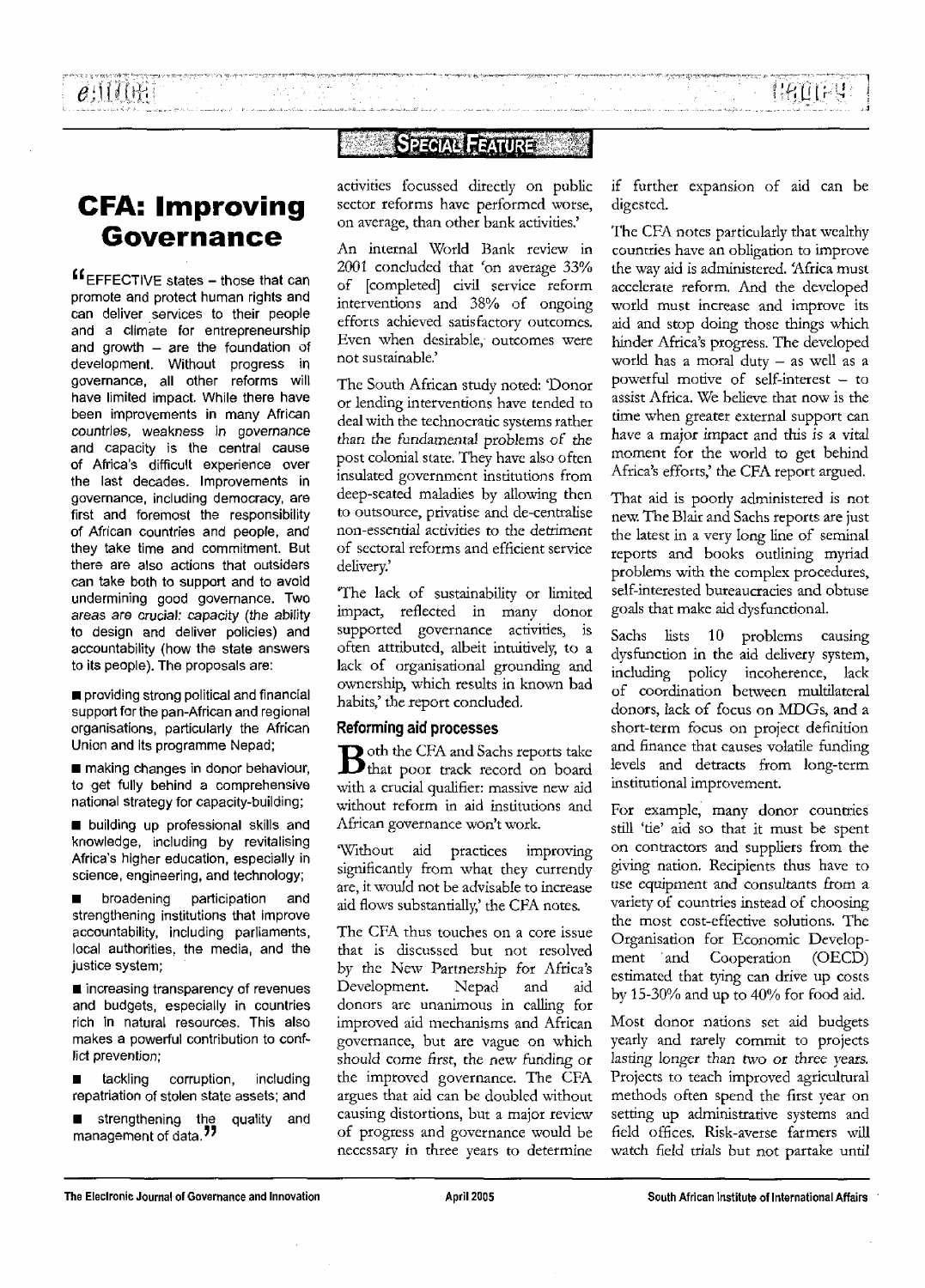## **CFA: Improving Governance**

^EFFECTIVE states - those that can promote and protect human rights and can deliver services to their people and a climate for entrepreneurship and growth  $-$  are the foundation of development. Without progress in governance, all other reforms will have limited impact. While there have been improvements in many African countries, weakness in governance and capacity is the central cause of Africa's difficult experience over the last decades. Improvements in governance, including democracy, are first and foremost the responsibility of African countries and people, and they take time and commitment. But there are also actions that outsiders can take both to support and to avoid undermining good governance. Two areas are crucial: capacity (the ability to design and deliver policies) and accountability (how the state answers to its people). The proposals are:

 $\blacksquare$  providing strong political and financial support for the pan-African and regional organisations, particularly the African Union and its programme Nepad;

 $\blacksquare$  making changes in donor behaviour, to get fully behind a comprehensive national strategy for capacity-building;

**• building up professional skills and** knowledge, including by revitalising Africa's higher education, especially in science, engineering, and technology;

**• broadening participation and** strengthening institutions that improve accountability, including parliaments, local authorities, the media, and the justice system;

 $\blacksquare$  increasing transparency of revenues and budgets, especially in countries rich in natural resources. This also makes a powerful contribution to conflict prevention;

**E** tackling corruption, including repatriation of stolen state assets; and

strengthening the quality and management of data.<sup>"</sup>

### **SPECIAL FEATURE**

activities focussed directly on public sector reforms have performed worse, on average, than other bank activities,'

An internal World Bank review in 2001 concluded that 'on average 33% of [completed] civil service reform interventions and 38% of ongoing efforts achieved satisfactory outcomes. Even when desirable, outcomes were not sustainable.'

The South African study noted: 'Donor or lending interventions have tended to deal with the technocratic systems rather than the fundamental *problems of:* the post colonial state. They have also often insulated government institutions from deep-seated maladies by allowing then to outsource, privatise and de-centralise non-essential activities to the detriment of sectoral reforms and efficient service delivery.'

The lack of sustainability or limited impact, reflected in many donor supported governance activities, is often attributed, albeit intuitively, to a lack of organisational grounding and ownership, which results in known bad habits,' the report concluded.

#### Reforming aid processes

**B**oth the CFA and Sachs reports take that poor track record on board with a crucial qualifier: massive new aid without reform in aid institutions and African governance won't work.

'Without aid practices improving significantly from what they currently are, it would not be advisable to increase aid flows substantially,' the CFA notes.

The CFA thus touches on a core issue that is discussed but not resolved by the New Partnership *for* Africa's Development. Nepad and aid donors are unanimous in calling for improved aid mechanisms and African governance, but are vague on which should come first, the new funding or the improved governance. The CFA argues that aid can be doubled without causing distortions, but a major review of progress and governance would be necessary in three years to determine if further expansion of aid can be digested.

The CFA notes particularly that wealthy countries have an obligation to improve the way aid is administered. 'Africa must accelerate reform. And the developed world must increase and improve its aid and stop doing those things which hinder Africa's progress. The developed world has a moral duty  $-$  as well as a powerful motive of self-interest — to assist Africa. We believe that now is the time when greater external support can have a major impact and this is a vital moment for the world to get behind Africa's efforts,' the CFA report argued.

That aid is poorly administered is not new. The Blair and Sachs reports are just the latest in a very long line of seminal reports and books outlining myriad problems with the complex procedures, self-interested bureaucracies and obtuse goals that make aid dysfunctional.

Sachs lists 10 problems causing dysfunction in the aid delivery system, including policy incoherence, lack of coordination between multilateral donors, lack of focus on MDGs, and a short-term focus on project definition and finance that causes volatile funding levels and detracts from long-term institutional improvement.

For example, many donor countries still 'tie' aid so that it must be spent on contractors and suppliers from the giving nation. Recipients thus have to use equipment and consultants from a variety of countries instead of choosing the most cost-effective solutions. The Organisation for Economic Development and Cooperation (OECD) estimated that tying can drive up costs by 15-30% and up to 40% for food aid.

Most donor nations set aid budgets yearly and rarely commit to projects lasting longer than *two or* three years. Projects to teach improved agricultural methods often spend the first year on setting up administrative systems and field offices. Risk-averse farmers will watch field trials but not partake until

**The Electronic Journal of Governance and Innovation April 2005 South African Institute of International Affairs**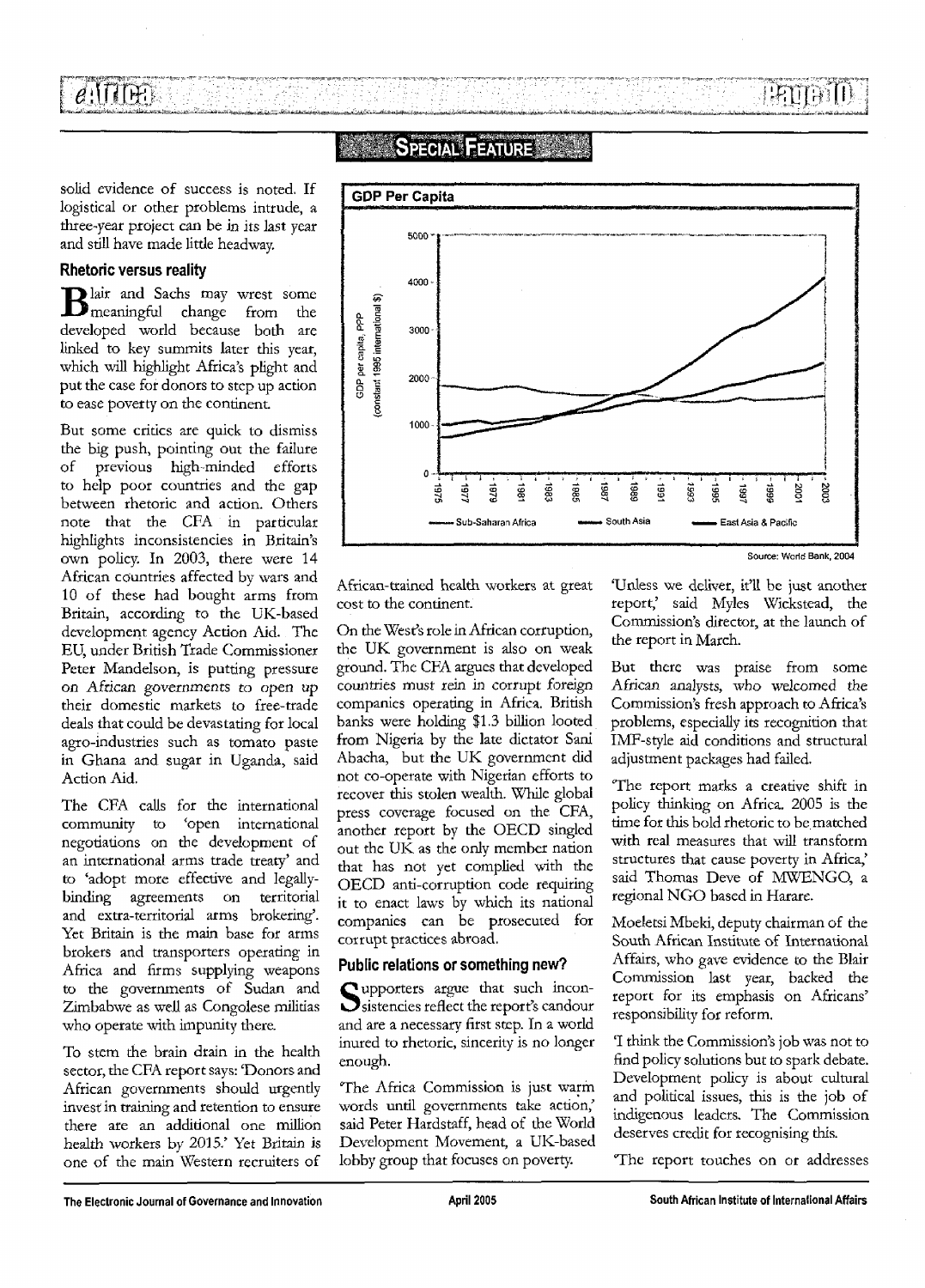$e$ 'ittin'i HELLEL I

### SPECIAL FEATURE

solid evidence of success is noted. If logistical or other problems intrude, a three-year project can be in its last year and still have made little headway.

#### Rhetoric versus reality

Blair and Sachs may wrest some<br>meaningful change from the lair and Sachs may wrest some developed world because both are linked to key summits later this year, which will highlight Africa's plight and put the case for donors to step up action to ease poverty on the continent.

But some critics are quick to dismiss the big push, pointing out the failure of previous high-minded efforts to help poor countries and the gap between rhetoric and action. Others note that the CFA in particular highlights inconsistencies in Britain's own policy. In 2003, there were 14 African countries affected by wars and 10 of these had bought arms from Britain, according to the UK-based development agency Action Aid. The EU, under British Trade Commissioner Peter Mandelson, is putting pressure on African governments to open up their domestic markets to free-trade deals that could be devastating for local agro-industries such as tomato paste in Ghana and sugar in Uganda, said Action Aid.

The CFA calls for the international community to 'open international negotiations on the development of an international arms trade treaty' and to 'adopt more effective and legallybinding agreements on territorial and extra-territorial arms brokering'. Yet Britain is the main base for arms brokers and transporters operating in Africa and firms supplying weapons to the governments of Sudan and Zimbabwe as well as Congolese militias who operate with impunity there.

To stem the brain drain in the health sector, the CFA report says: 'Donors and African governments should urgently invest in training and retention to ensure there are an additional one million health workers by 2015.' Yet Britain is one of the main Western recruiters of



Source: World Bank, 2004

African-trained health workers at great cost to the continent.

On the West's role in African corruption, the UK government is also on weak ground. The CFA argues that developed countries must rein in corrupt foreign companies operating in Africa. British banks were holding \$1.3 billion looted from Nigeria by the late dictator Sani Abacha, but the UK government did not co-operate with Nigerian efforts to recover this stolen wealth. While global press coverage focused on the CFA, another report by the OECD singled out the UK as the only member nation that has not yet complied with the OECD anti-corruption code requiring it to enact laws by which its national companies can be prosecuted for corrupt practices abroad.

#### Public relations or something new?

Supporters argue that such incon-<br>Sistencies reflect the report's candour sistencies reflect the report's candour and are a necessary first step. In a world inured to rhetoric, sincerity is no longer enough.

The Africa Commission is just warm words until governments take action,' said Peter Hardstaff, head of the World Development Movement, a UK-based lobby group that focuses on poverty.

'Unless we deliver, it'll be just another report,' said Myles Wickstead, the Commission's director, at the launch of the report in March.

But there was praise from some African analysts, who welcomed the Commission's fresh approach to Africa's problems, especially its recognition that IMF-style aid conditions and structural adjustment packages had failed.

The report marks a creative shift in policy thinking on Africa. 2005 is the time for this bold rhetoric to be matched with real measures that will transform structures that cause poverty in Africa,' said Thomas Deve of MWENGO, a regional NGO based in Harare.

Moeletsi Mbeki, deputy chairman of the South African Institute of International Affairs, who gave evidence to the Blair Commission last year, backed the report for its emphasis on Africans' responsibility for reform.

'I think the Commission's job was not to find policy solutions but to spark debate. Development policy is about cultural and political issues, this is the job of indigenous leaders. The Commission deserves credit for recognising this.

The report touches on or addresses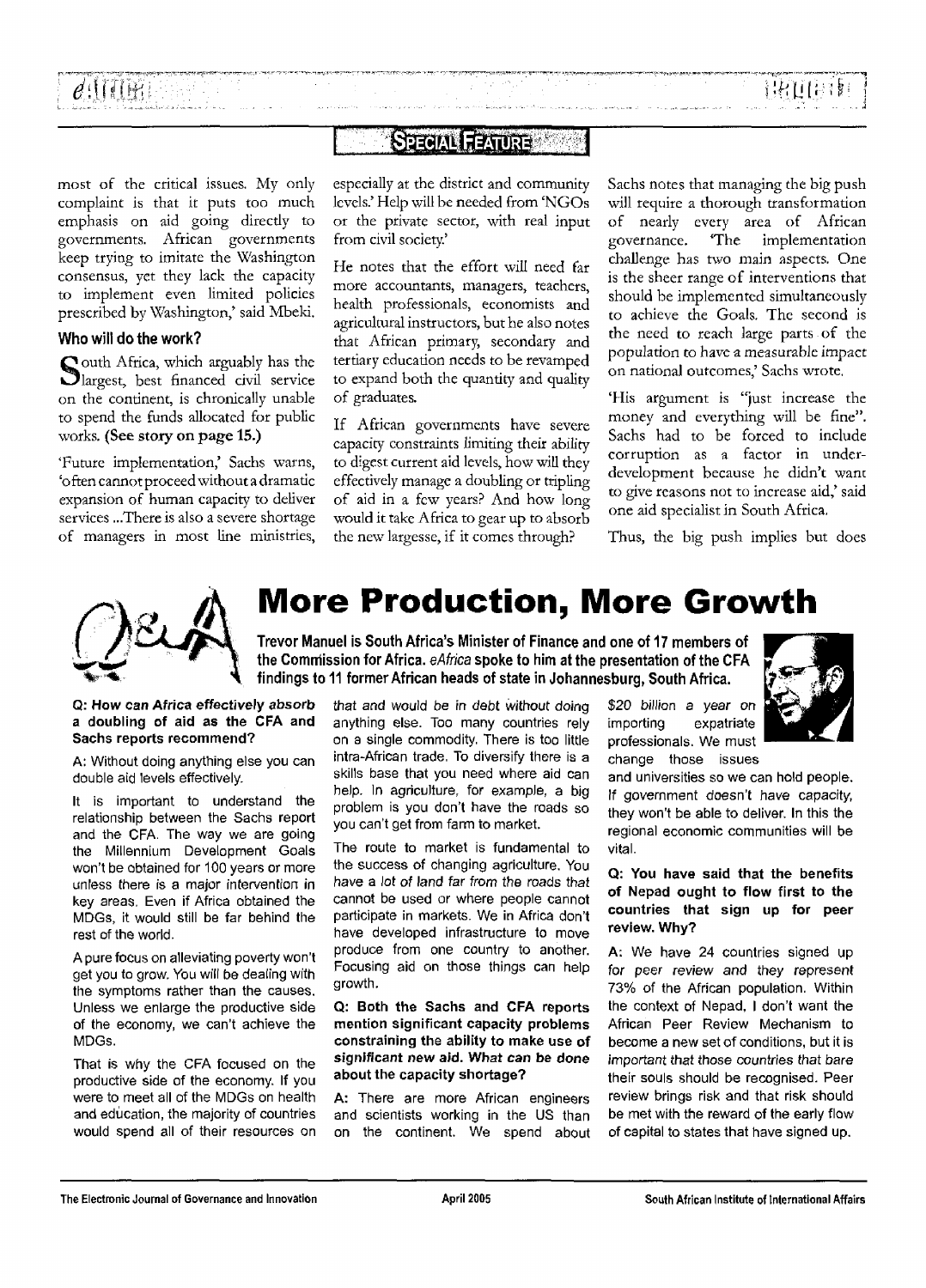### **SPECIAL FEATURE**

most of the critical issues. My only complaint is that it puts too much emphasis on aid going directly to governments. African governments keep trying to imitate the Washington consensus, yet they lack the capacity to implement even limited policies prescribed by Washington,' said Mbeki.

#### Who will do the work?

South Africa, which arguably has the<br>Slargest, best financed civil service  $\Omega$  outh Africa, which arguably has the on the continent, is chronically unable to spend the funds allocated for public works. (See story on page 15.)

'Future implementation,' Sachs warns, 'often cannot proceed without a dramatic expansion of human capacity to deliver services ...There is also a severe shortage of managers in most line ministries,

especially at the district and community levels.' Help will be needed from 'NGOs or the private sector, with real input from civil society.'

He notes that the effort will need far more accountants, managers, teachers, health professionals, economists and agricultural instructors, but he also notes that African primary, secondary and tertiary education needs to be revamped to expand both the quantity and quality of graduates.

If African governments have severe capacity constraints limiting their ability to digest current aid levels, how will they effectively manage a doubling or tripling of aid in a few years? And how long would it take Africa to gear up to absorb the new largesse, if it comes through?

Sachs notes that managing the big push will require a thorough transformation of nearly every area of African governance. 'The implementation challenge has two main aspects. One is the sheer range of interventions that should be implemented simultaneously to achieve the Goals. The second is the need to reach large parts of the population *to* have a measurable impact on national outcomes,' Sachs wrote.

'His argument is "just increase the money and everything will be fine". Sachs had to be forced to include corruption as a factor in underdevelopment because he didn't want to give reasons not to increase aid,' said one aid specialist in South Africa.

Thus, the big push implies but does



# **More Production, More Growth**

Trevor Manuel is South Africa's Minister of Finance and one of 17 members of the Commission for Africa. eAfrica spoke to him at the presentation of the CFA findings to 11 former African heads of state in Johannesburg, South Africa.

**Q: How can Africa effectively absorb a doubling of aid as the CFA and Sachs reports recommend?**

**A:** Without doing anything else you can double aid levels effectively.

It is important to understand the relationship between the Sachs report and the CFA. The way we are going the Millennium Development Goals won't be obtained for 100 years or more unless there is a major intervention in key areas. Even if Africa obtained the MDGs, it would still be far behind the rest of the world.

A pure focus on alleviating poverty won't get you to grow. You will be dealing with the symptoms rather than the causes. Unless we enlarge the productive side of the economy, we can't achieve the MDGs.

That is why the CFA focused on the productive side of the economy. If you were to meet all of the MDGs on health and education, the majority of countries would spend all of their resources on that and would be in debt without doing anything else. Too many countries rely on a single commodity. There is too little intra-African trade. To diversify there is a skills base that you need where aid can help. In agriculture, for example, a big problem is you don't have the roads so you can't get from farm to market.

The route to market is fundamental to the success of changing agriculture. You have a lot of land far from the roads that cannot be used or where people cannot participate in markets. We in Africa don't have developed infrastructure to move produce from one country to another. Focusing aid on those things can help growth.

**Q: Both the Sachs and CFA reports mention significant capacity problems constraining the ability to make use of significant new aid. What can be done about the capacity shortage?**

**A:** There are more African engineers and scientists working in the US than on the continent. We spend about

\$20 billion a vear on importing expatriate professionals. We must change those issues



and universities so we can hold people. If government doesn't have capacity, they won't be able to deliver. In this the regional economic communities will be vital.

#### **Q: You have said that the benefits of Nepad ought to flow first to the countries that sign up for peer review. Why?**

**A:** We have 24 countries signed up for peer review and they represent 73% of the African population. Within the context of Nepad, I don't want the African Peer Review Mechanism to become a new set of conditions, but it is important that those countries that bare their souls should be recognised. Peer review brings risk and that risk should be met with the reward of the early flow of capital to states that have signed up.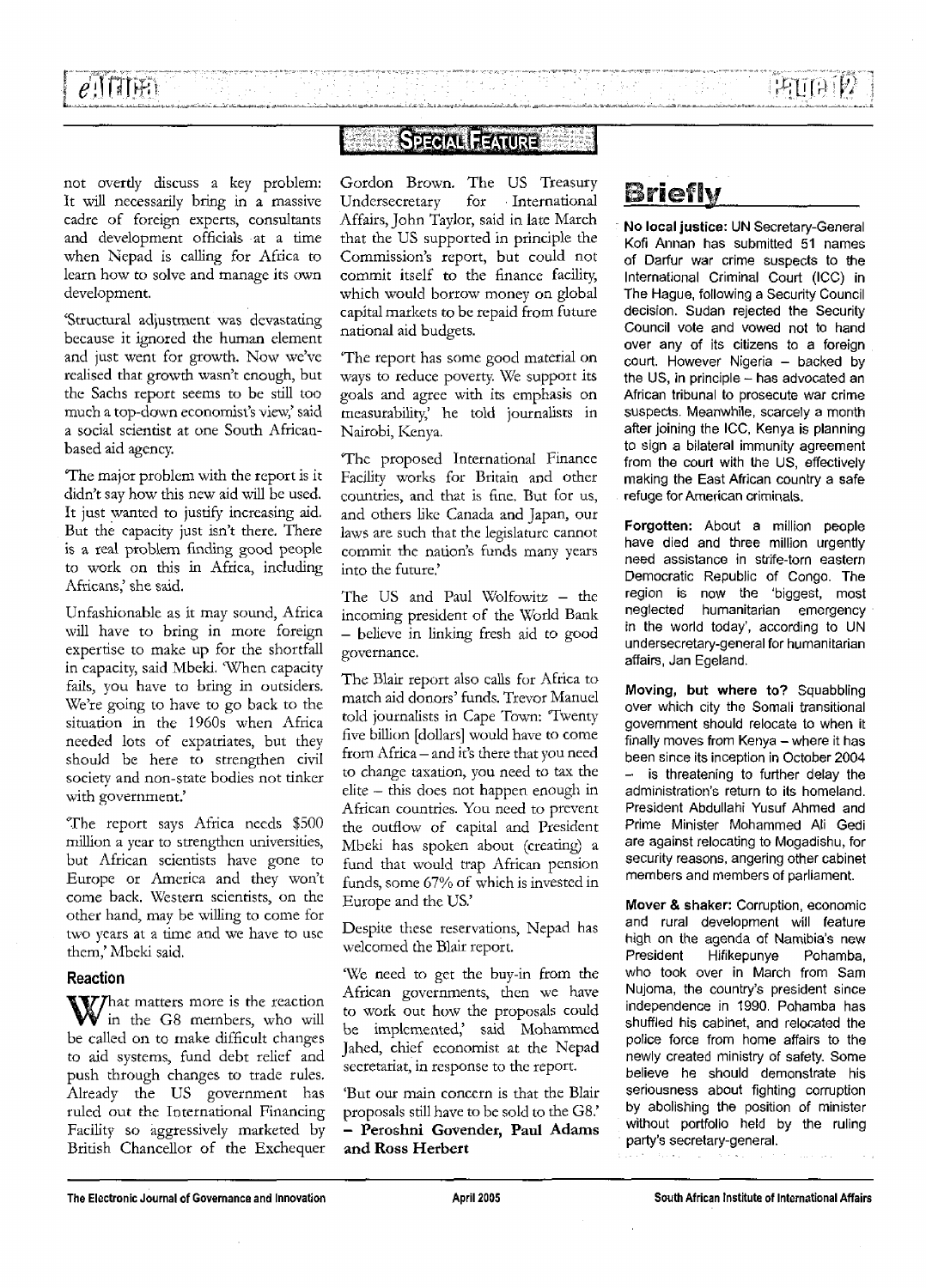### **SPECIAL FEATURE**

 $\frac{d}{dt} \sum_{i=1}^n \frac{d}{dt} \sum_{j=1}^n \frac{d}{dt} \left( \frac{d}{dt} \right)^2$ 

not overtly discuss a key problem: It will necessarily bring in a massive cadre of foreign experts, consultants and development officials at a time when Nepad is calling for Africa to learn how to solve and manage its own development.

'Structural adjustment was devastating because it ignored the human element and just went for growth. Now we've realised that growth wasn't enough, but the Sachs report seems to be still too much a top-down economist's view,' said a social scientist at one South Africanbased aid agency.

The major problem with the report is it didn't say how this new aid will be used. It just wanted to justify increasing aid. But the capacity just isn't there. There is a real problem finding good people to work on this in Africa, including Africans,' she said.

Unfashionable as it may sound, Africa will have to bring in more foreign expertise to make up for the shortfall in capacity, said Mbeki. 'When capacity fails, you have to bring in outsiders. We're going to have to go back to the situation in the 1960s when Africa needed lots of expatriates, but they should be here to strengthen civil society and non-state bodies not tinker with government.'

The report says Africa needs \$500 million a year to strengthen universities, but African scientists have gone to Europe or America and they won't come back. Western scientists, on the other hand, may be willing to come for two years at a time and we have to use them,' Mbeki said.

#### **Reaction**

r hat matters more is the reaction in the G8 members, who will be called on to make difficult changes to aid systems, fund debt relief and push through changes to trade rules. Already the US government has ruled out the International Financing Facility so aggressively marketed by British Chancellor of the Exchequer Gordon Brown. The US Treasury Undersecretary for International Affairs, John Taylor, said in late March that the US supported in principle the Commission's report, but could not commit itself to the finance facility, which would borrow money on global capital markets to be repaid from future national aid budgets.

'The report has some good material on ways to reduce poverty. We support its goals and agree with its emphasis on mcasurability,' he told journalists in Nairobi, Kenya.

The proposed International Finance Facility works for Britain and other countries, and that is fine. But for us, and others like Canada and Japan, our laws are such that the legislature cannot commit the nation's funds many years into the future.'

The US and Paul Wolfowitz - the incoming president of the World Bank — believe in linking fresh aid to good governance.

The Blair report also calls for Africa to match aid donors' funds. Trevor Manuel told journalists in Cape Town: Twenty five billion [dollars] would have to come from Africa - and it's there that you need to change taxation, you need to tax the elite — this does not happen enough in African countries. You need to prevent the outflow of capital and President Mbeki has spoken about (creating) a fund that would trap African pension funds, some 67% of which is invested in Europe and the US.'

Despite these reservations, Nepad has welcomed the Blair report.

We need to get the buy-in from the African governments, then we have to work out how the proposals could be implemented,' said Mohammed Jahed, chief economist at the Nepad secretariat, in response to the report.

'But our main concern is that the Blair proposals still have to be sold to the G8.' - **Peroshni Govender, Paul Adams and Ross Herbert**

# **Briefly**

2010년 1월 20일 전 1월 20일<br>대한민국의 대한민국의 대한민국

**No local justice: UN** Secretary-General Kofi Annan has submitted 51 names of Darfur war crime suspects to the International Criminal Court (ICC) in The Hague, following a Security Council decision. Sudan rejected the Security Council vote and vowed not to hand over any of its citizens to a foreign court. However Nigeria - backed by the US, in principle - has advocated an African tribunal to prosecute war crime suspects. Meanwhile, scarcely a month after joining the ICC, Kenya is planning to sign a bilateral immunity agreement from the court with the US, effectively making the East African country a safe refuge for American criminals.

**Forgotten:** About a million people have died and three million urgently need assistance in strife-torn eastern Democratic Republic of Congo. The region is now the 'biggest, most neglected humanitarian emergency in the world today', according to UN undersecretary-general for humanitarian affairs, Jan Egeland.

**Moving, but where to?** Squabbling over which city the Somali transitional government should relocate to when it finally moves from Kenya - where it has been since its inception in October 2004 - is threatening to further delay the administration's return to its homeland. President Abdullahi Yusuf Ahmed and Prime Minister Mohammed Ali Gedi are against relocating to Mogadishu, for security reasons, angering other cabinet members and members of parliament.

**Mover** & **shaker:** Corruption, economic and rural development will feature high on the agenda of Namibia's new President Hifikepunye Pohamba, who took over in March from Sam Nujoma, the country's president since independence in 1990. Pohamba has shuffled his cabinet, and relocated the police force from home affairs to the newly created ministry of safety. Some believe he should demonstrate his seriousness about fighting corruption by abolishing the position of minister without portfolio held by the ruling party's secretary-general.

**The Electronic Journal of Governance and Innovation April 2005 South African Institute of International Affairs**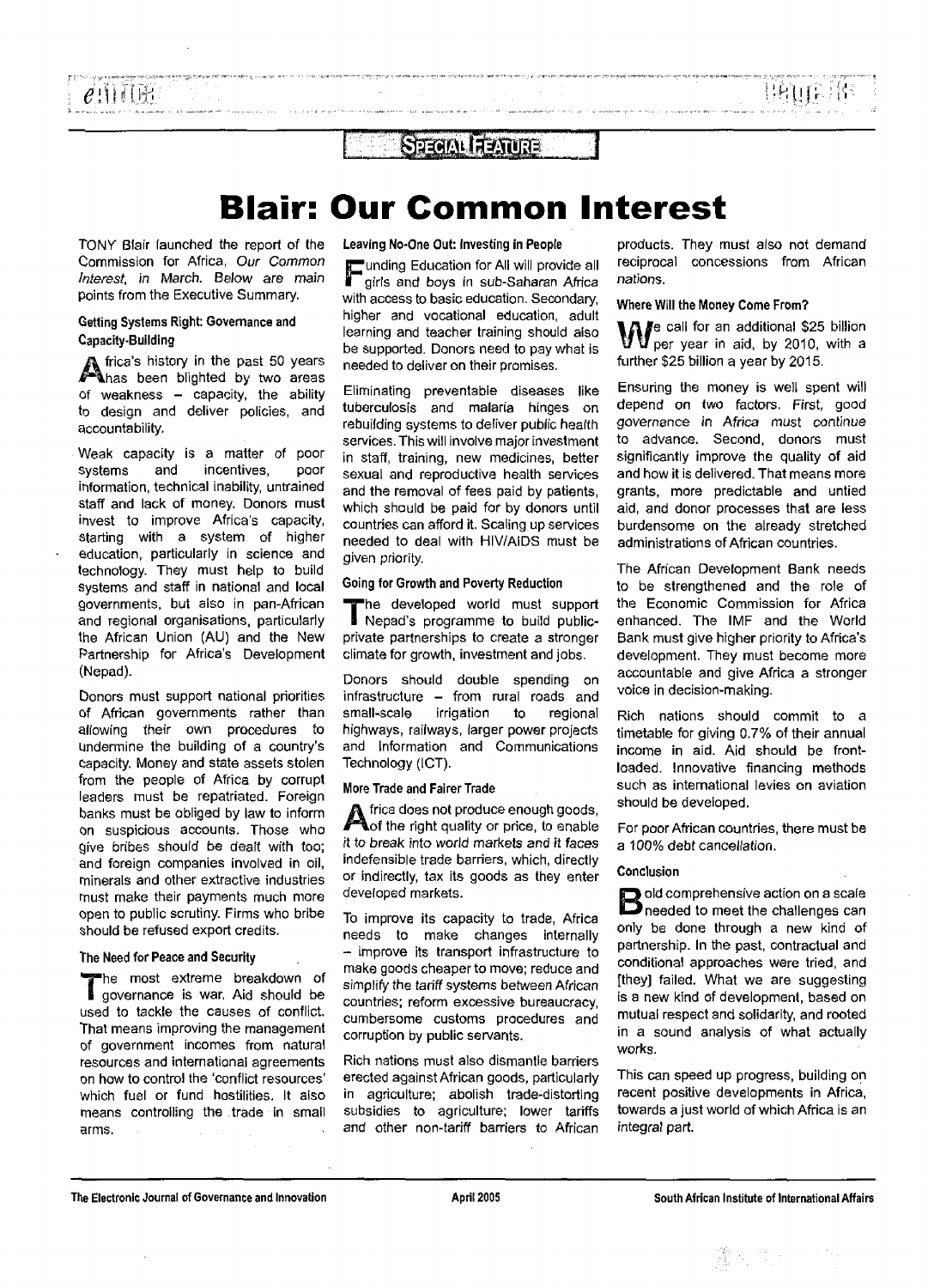### STEEM FEAURE

# **Blair: Our Common Interest**

TONY Blair launched the report of the Commission for Africa, Our Common Interest, in March. Below are main points from the Executive Summary.

#### Getting Systems Right: Governance and Capacity-Building

A frica's history in the past 50 years<br>Ahas been blighted by two areas has been blighted by two areas of weakness - capacity, the ability to design and deliver policies, and accountability.

Weak capacity is a matter of poor systems and incentives, poor information, technical inability, untrained staff and lack of money. Donors must invest to improve Africa's capacity, starting with a system of higher education, particularly in science and technology. They must help to build systems and staff in national and local governments, but also in pan-African and regional organisations, particularly the African Union (AU) and the New Partnership for Africa's Development (Nepad).

Donors must support national priorities of African governments rather than allowing their own procedures to Undermine the building of a country's Capacity. Money and state assets stolen from the people of Africa by corrupt leaders must be repatriated. Foreign banks must be obliged by law to inform on suspicious accounts. Those who give bribes should be dealt with too; and foreign companies involved in oil, minerals and other extractive industries must make their payments much more Open to public scrutiny. Firms who bribe should be refused export credits.

#### The Need for Peace and Security

"he most extreme breakdown of governance is war, Aid should be used to tackle the causes of conflict. That means improving the management of government incomes from natural resources and international agreements on how to control the 'conflict resources' which fuel or fund hostilities. It also means controlling the trade in small arms.

Leaving No-One Out: Investing in People

'unding Education for All will provide all girls and boys in sub-Saharan Africa with access to basic education. Secondary, higher and vocational education, adult learning and teacher training should also be supported. Donors need to pay what is needed to deliver on their promises.

Eliminating preventable diseases like tuberculosis and malaria hinges on rebuilding systems to deliver public health services. This will involve major investment in staff, training, new medicines, better sexual and reproductive health services and the removal of fees paid by patients, which should be paid for by donors until countries can afford it. Scaling up services needed to deal with HIV/AIDS must be given priority.

#### Going for Growth and Poverty Reduction

'he developed world must support Nepad's programme to build publicprivate partnerships to create a stronger climate for growth, investment and jobs.

Donors should double spending on infrastructure - from rural roads and small-scale irrigation to regional highways, railways, larger power projects and Information and Communications Technology (ICT).

#### More Trade and Fairer Trade

A frica does not produce enough goods,<br>Aof the right quality or price, to enable of the right quality or price, to enable it to break into world markets and it faces indefensible trade barriers, which, directly or indirectly, tax its goods as they enter developed markets.

To improve its capacity to trade, Africa needs to make changes internally - improve its transport infrastructure to make goods cheaper to move; reduce and simplify the tariff systems between African countries; reform excessive bureaucracy, cumbersome customs procedures and corruption by public servants.

Rich nations must also dismantle barriers erected against African goods, particularly in agriculture; abolish trade-distorting subsidies to agriculture; lower tariffs and other non-tariff barriers to African

products. They must also not demand reciprocal concessions from African nations.

#### Where Will the Money Come From?

fe call for an additional \$25 billion per year in aid, by 2010, with a further \$25 billion a year by 2015.

Ensuring the money is well spent will depend on two factors. First, good governance in Africa must continue to advance. Second, donors must significantly improve the quality of aid and how it is delivered. That means more grants, more predictable and untied aid, and donor processes that are less burdensome on the already stretched administrations of African countries.

The African Development Bank needs to be strengthened and the role of the Economic Commission for Africa enhanced. The IMF and the World Bank must give higher priority to Africa's development. They must become more accountable and give Africa a stronger voice in decision-making.

Rich nations should commit to a timetable for giving 0.7% of their annual income in aid. Aid should be frontloaded. Innovative financing methods such as international levies on aviation should be developed.

For poor African countries, there must be a 100% debt cancellation.

#### Conclusion

**B** old comprehensive action on a scale<br>**B** needed to meet the challenges can needed to meet the challenges can only be done through a new kind of partnership. In the past, contractual and conditional approaches were tried, and [they] failed. What we are suggesting is a new kind of development, based on mutual respect and solidarity, and rooted in a sound analysis of what actually works.

This can speed up progress, building on recent positive developments in Africa, towards a just world of which Africa is an integral part.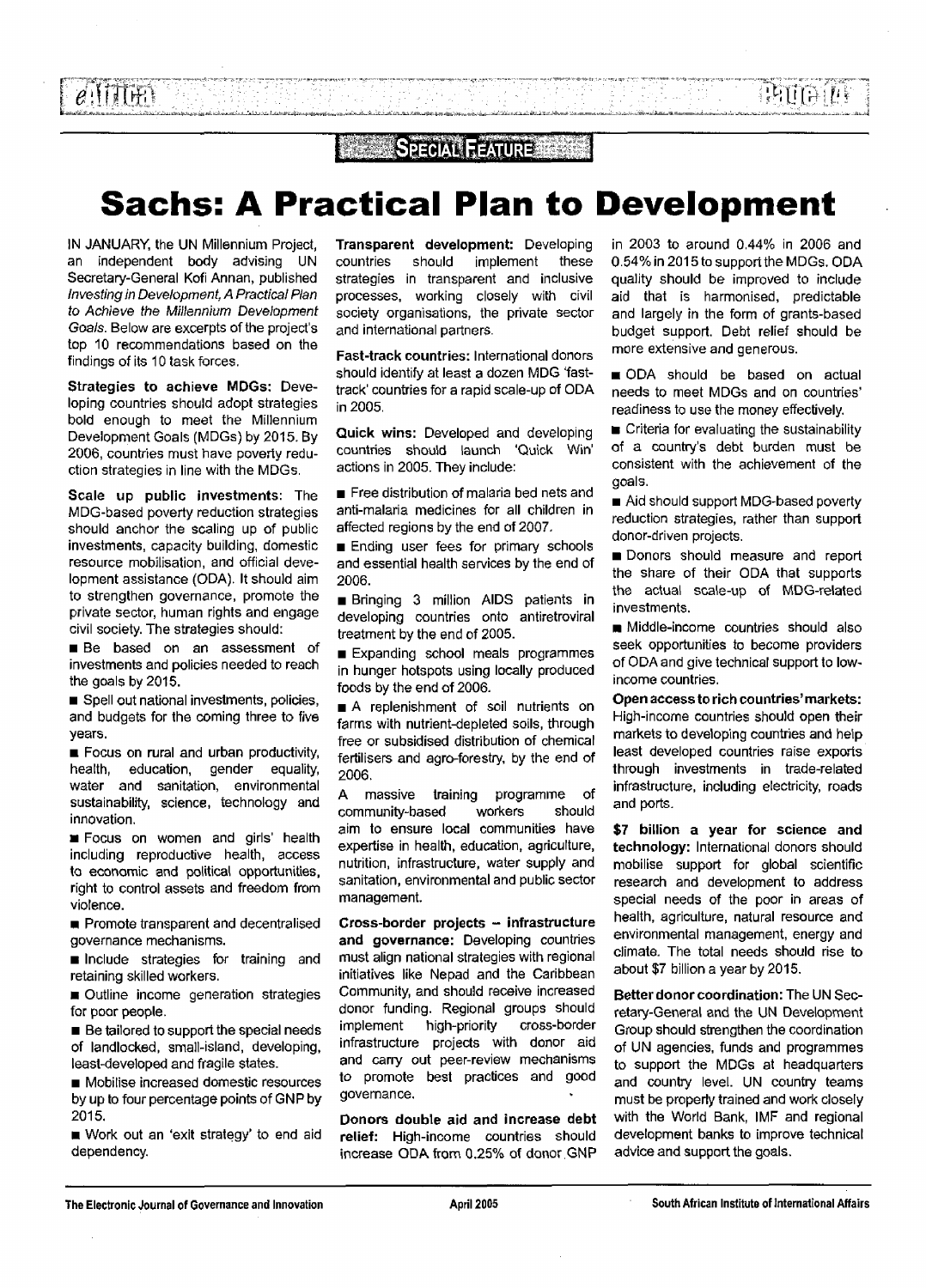## **CERTIFICAL FEATURE**

# **Sachs: A Practical Plan to Development**

IN JANUARY, the UN Millennium Project, an independent body advising UN Secretary-General Kofi Annan, published Investing in Development, A Practical Plan to Achieve the Millennium Development Goals. Below are excerpts of the project's top 10 recommendations based on the findings of its 10 task forces.

**Strategies to achieve MDGs:** Developing countries should adopt strategies bold enough to meet the Millennium Development Goals (MDGs) by 2015. By 2006, countries must have poverty reduction strategies in line with the MDGs.

**Scale up public investments:** The MDG-based poverty reduction strategies should anchor the scaling up of public investments, capacity building, domestic resource mobilisation, and official development assistance (ODA). It should aim to strengthen governance, promote the private sector, human rights and engage civil society. The strategies should:

**Be** based on an assessment of investments and policies needed to reach the goals by 2015.

**• Spell out national investments, policies,** and budgets for the coming three to five years.

**E** Focus on rural and urban productivity, health, education, gender equality, water and sanitation, environmental sustainability, science, technology and innovation.

• Focus on women and girls' health including reproductive health, access to economic and political opportunities, right to control assets and freedom from violence.

**• Promote transparent and decentralised** governance mechanisms.

 $\blacksquare$  Include strategies for training and retaining skilled workers.

 $\blacksquare$  Outline income generation strategies for poor people.

**• Be tailored to support the special needs** of landlocked, small-island, developing, least-developed and fragile states.

• Mobilise increased domestic resources by up to four percentage points of GNP by 2015.

• Work out an 'exit strategy' to end aid dependency.

**Transparent development:** Developing countries should implement these strategies in transparent and inclusive processes, working closely with civil society organisations, the private sector and international partners.

**Fast-track countries:** International donors should identify at least a dozen MDG 'fasttrack' countries for a rapid scale-up of ODA in 2005.

**Quick wins:** Developed and developing countries should launch 'Quick Win' actions in 2005. They include:

**Free distribution of malaria bed nets and** anti-malaria medicines for all children in affected regions by the end of 2007.

**Ending user fees for primary schools** and essential health services by the end of 2006.

• Bringing 3 million AIDS patients in developing countries onto antiretroviral treatment by the end of 2005.

**Expanding school meals programmes** in hunger hotspots using locally produced foods by the end of 2006.

A replenishment of soil nutrients on farms with nutrient-depleted soils, through free or subsidised distribution of chemical fertilisers and agro-forestry, by the end of 2006.

A massive training programme of community-based workers should aim to ensure local communities have expertise in health, education, agriculture, nutrition, infrastructure, water supply and sanitation, environmental and public sector management.

**Cross-border projects - infrastructure and governance:** Developing countries must align national strategies with regional initiatives like Nepad and the Caribbean Community, and should receive increased donor funding. Regional groups should implement high-priority cross-border infrastructure projects with donor aid and carry out peer-review mechanisms to promote best practices and good governance.

**Donors double aid and increase debt relief:** High-income countries should increase ODA from 0.25% of donor GNP

in 2003 to around 0.44% in 2006 and 0.54% in 2015 to support the MDGs. ODA quality should be improved to include aid that is harmonised, predictable and largely in the form of grants-based budget support. Debt relief should be more extensive and generous.

ODA should be based on actual needs to meet MDGs and on countries' readiness to use the money effectively.

 $\blacksquare$  Criteria for evaluating the sustainability of a country's debt burden must be consistent with the achievement of the goals.

• Aid should support MDG-based poverty reduction strategies, rather than support donor-driven projects.

**• Donors should measure and report** the share of their ODA that supports the actual scale-up of MDG-related investments.

**n** Middle-income countries should also seek opportunities to become providers of ODA and give technical support to lowincome countries.

**Open access to rich countries' markets:** High-income countries should open their markets to developing countries and help least developed countries raise exports through investments in trade-related infrastructure, including electricity, roads and ports.

**\$7 billion a year for science and technology:** International donors should mobilise support for global scientific research and development to address special needs of the poor in areas of health, agriculture, natural resource and environmental management, energy and climate. The total needs should rise to about \$7 billion a year by 2015.

**Better donor coordination:** The UN Secretary-General and the UN Development Group should strengthen the coordination of UN agencies, funds and programmes to support the MDGs at headquarters and country level. UN country teams must be properly trained and work closely with the World Bank, IMF and regional development banks to improve technical advice and support the goals.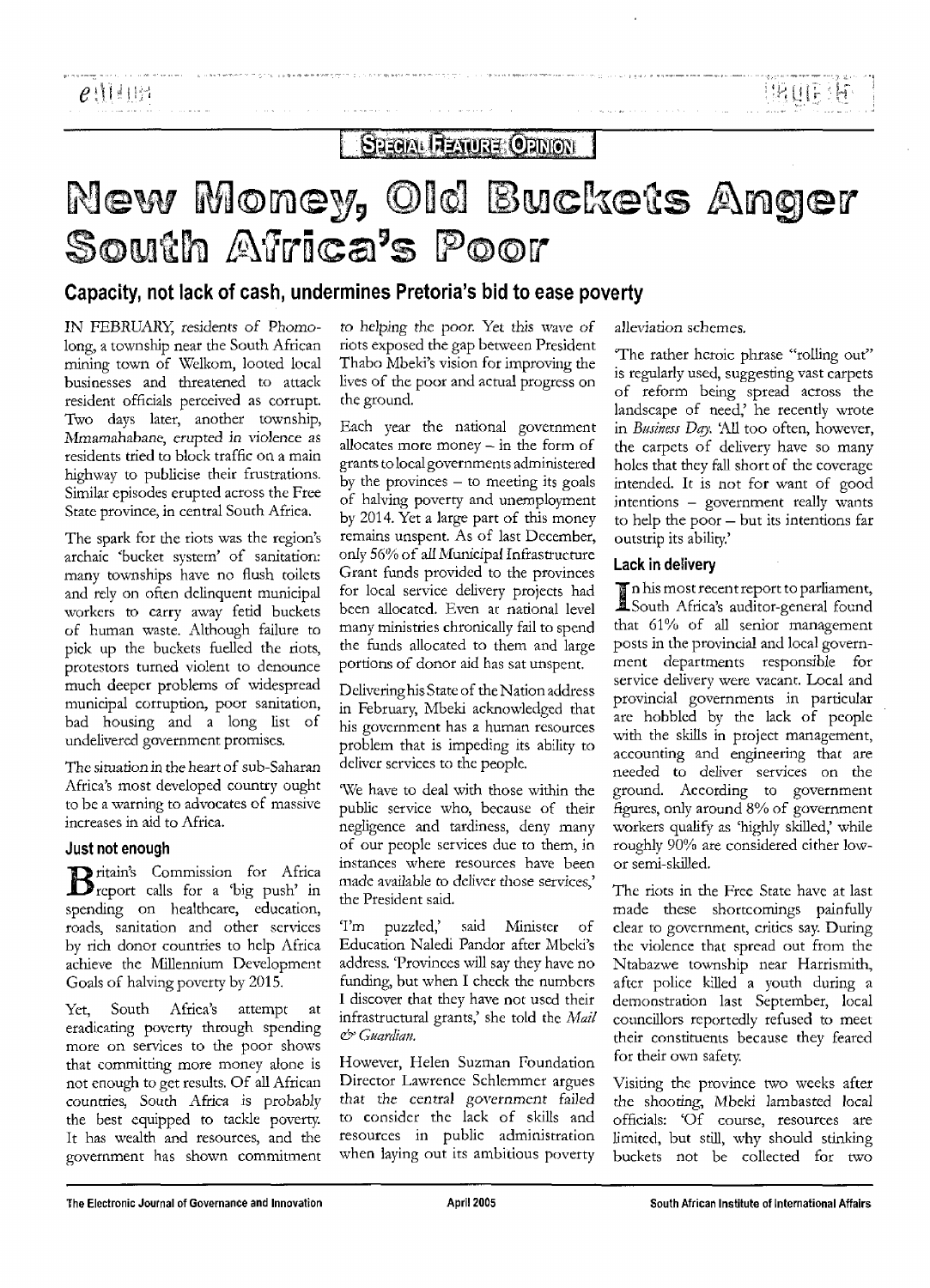**INDIE IN** 

**SHEAM RENURE ORINON** 

# New Money, Old Buckets Anger South Africa's Poor

### Capacity, not lack of cash, undermines Pretoria's bid to ease poverty

IN FEBRUARY, residents *of* Phomolong, a township near the South African mining town of Welkom, looted local businesses and threatened to attack resident officials perceived as corrupt. Two days later, another township, Mmamahabane, erupted in violence as residents tried to block traffic on a main highway to publicise their frustrations. Similar episodes erupted across the Free State province, in central South Africa.

لماستعادت الأراد

The spark for the riots was the region's archaic 'bucket system' of sanitation: many townships have no flush toilets and rely on often delinquent municipal workers to carry away fetid buckets of human waste. Although failure to pick up the buckets fuelled the riots, protestors turned violent to denounce much deeper problems of widespread municipal corruption, poor sanitation, bad housing and a long list of undelivered government promises.

The situation in the heart of sub-Saharan Africa's most developed country ought to be a warning to advocates of massive increases in aid to Africa.

#### Just not enough

i ritain's Commission for Africa 'report calls for a 'big push' in spending on healthcare, education, roads, sanitation and other services by rich donor countries to help Africa achieve the Millennium Development Goals of halving poverty by 2015.

Yet, South Africa's attempt at eradicating poverty through spending more on services to the poor shows that committing more money alone is not enough to get results. Of all African countries, South Africa is probably the best equipped to tackle poverty. It has wealth and resources, and the government has shown commitment

*to* helping the poor. Yet this wave *of* riots exposed the gap between President Thabo Mbeki's vision for improving the lives of the poor and actual progress on the ground.

Each year the national government allocates more money — in the form of grants to local governments administered by the provinces  $-$  to meeting its goals of halving poverty and unemployment by 2014. Yet a large part of this money remains unspent. As of last December, only 56% of all Municipal Infrastructure Grant funds provided to the provinces for local service delivery projects had been allocated. Even at national level many ministries chronically fail to spend the funds allocated to them and large portions of donor aid has sat unspent.

Delivering his State of the Nation address in February, Mbeki acknowledged that his government has a human resources problem that is impeding its ability to deliver services to the people.

We have to deal with those within the public service who, because of their negligence and tardiness, deny many of our people services due to them, in instances where resources have been made available to deliver those services,' the President said.

'I'm puzzled,' said Minister of Education Naledi Pandor after Mbeki's address. 'Provinces will say they have no funding, but when I check the numbers I discover that they have not used their infrastructural grants,' she told the *Mail & Guardian.*

However, Helen Suzman Foundation Director Lawrence Schlemmer argues that the central government failed to consider the lack of skills and resources in public administration when laying out its ambitious poverty alleviation schemes.

The rather heroic phrase "rolling out" is regularly used, suggesting vast carpets of reform being spread across the landscape of need,' he recently wrote in *Business Day.* 'All too often, however, the carpets of delivery have so many holes that they fall short of the coverage intended. It is not for want of good intentions - government really wants to help the poor — but its intentions far outstrip its ability.'

#### Lack in delivery

In his most recent report to parliament, South Africa's auditor-general found that 61% of all senior management posts in the provincial and local government departments responsible for service delivery were vacant. Local and provincial governments in particular are hobbled by the lack of people with the skills in project management, accounting and engineering that are needed to deliver services on the ground. According to government figures, only around 8% of government workers qualify as 'highly skilled,' while roughly 90% are considered either lowor semi-skilled.

The riots in the Free State have at last made these shortcomings painfully clear to government, critics say. During the violence that spread out from the Ntabazwe township near Harrismith, after police killed a youth during a demonstration last September, local councillors reportedly refused to meet their constituents because they feared for their own safety.

Visiting the province two weeks after the shooting, Mbeki lambasted *local* officials: \*Of course, resources are limited, but still, why should stinking buckets not be collected for two